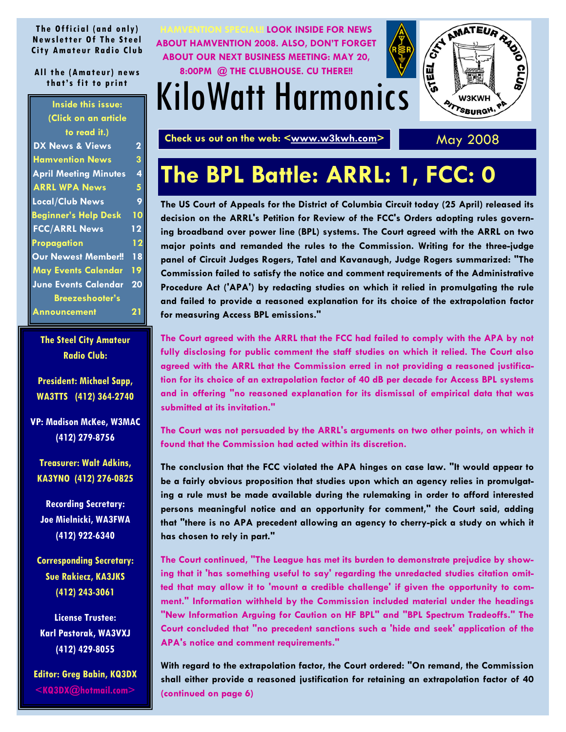#### <span id="page-0-0"></span>**The Official (and only) Newsletter Of The Steel City Amateur Radio Club**

#### **All the (Amateur) news that's fit to print**

| <b>Inside this issue:</b>    |    |
|------------------------------|----|
| (Click on an article         |    |
| to read it.)                 |    |
| DX News & Views              | 2  |
| <b>Hamvention News</b>       | 3  |
| <b>April Meeting Minutes</b> | 4  |
| <b>ARRL WPA News</b>         | 5  |
| Local/Club News              | 9  |
| <b>Beginner's Help Desk</b>  | 10 |
| <b>FCC/ARRL News</b>         | 12 |
| Propagation                  | 12 |
| <b>Our Newest Member!!</b>   | 18 |
| <b>May Events Calendar</b>   | 19 |
| <b>June Events Calendar</b>  | 20 |
| <b>Breezeshooter's</b>       |    |
| <b>Announcement</b>          |    |

**The Steel City Amateur Radio Club:** 

**President: Michael Sapp, WA3TTS (412) 364-2740** 

**VP: Madison McKee, W3MAC (412) 279-8756** 

**Treasurer: Walt Adkins, KA3YNO (412) 276-0825** 

**Recording Secretary: Joe Mielnicki, WA3FWA (412) 922-6340** 

**Corresponding Secretary: Sue Rakiecz, KA3JKS (412) 243-3061** 

**License Trustee: Karl Pastorak, WA3VXJ (412) 429-8055** 

**Editor: Greg Babin, KQ3DX <KQ3DX@hotmail.com>**



## KiloWatt Harmonics



Check us out on the web: <www.w3kwh.com>
May 2008

## **The BPL Battle: ARRL: 1, FCC: 0**

**The US Court of Appeals for the District of Columbia Circuit today (25 April) released its decision on the ARRL's Petition for Review of the FCC's Orders adopting rules governing broadband over power line (BPL) systems. The Court agreed with the ARRL on two major points and remanded the rules to the Commission. Writing for the three-judge panel of Circuit Judges Rogers, Tatel and Kavanaugh, Judge Rogers summarized: "The Commission failed to satisfy the notice and comment requirements of the Administrative Procedure Act ('APA') by redacting studies on which it relied in promulgating the rule and failed to provide a reasoned explanation for its choice of the extrapolation factor for measuring Access BPL emissions."** 

**The Court agreed with the ARRL that the FCC had failed to comply with the APA by not fully disclosing for public comment the staff studies on which it relied. The Court also agreed with the ARRL that the Commission erred in not providing a reasoned justification for its choice of an extrapolation factor of 40 dB per decade for Access BPL systems and in offering "no reasoned explanation for its dismissal of empirical data that was submitted at its invitation."** 

**The Court was not persuaded by the ARRL's arguments on two other points, on which it found that the Commission had acted within its discretion.** 

**The conclusion that the FCC violated the APA hinges on case law. "It would appear to be a fairly obvious proposition that studies upon which an agency relies in promulgating a rule must be made available during the rulemaking in order to afford interested persons meaningful notice and an opportunity for comment," the Court said, adding that "there is no APA precedent allowing an agency to cherry-pick a study on which it has chosen to rely in part."** 

**The Court continued, "The League has met its burden to demonstrate prejudice by showing that it 'has something useful to say' regarding the unredacted studies citation omitted that may allow it to 'mount a credible challenge' if given the opportunity to comment." Information withheld by the Commission included material under the headings "New Information Arguing for Caution on HF BPL" and "BPL Spectrum Tradeoffs." The Court concluded that "no precedent sanctions such a 'hide and seek' application of the APA's notice and comment requirements."** 

**With regard to the extrapolation factor, the Court ordered: "On remand, the Commission shall either provide a reasoned justification for retaining an extrapolation factor of 40 [\(continued on page 6\)](#page-5-0)**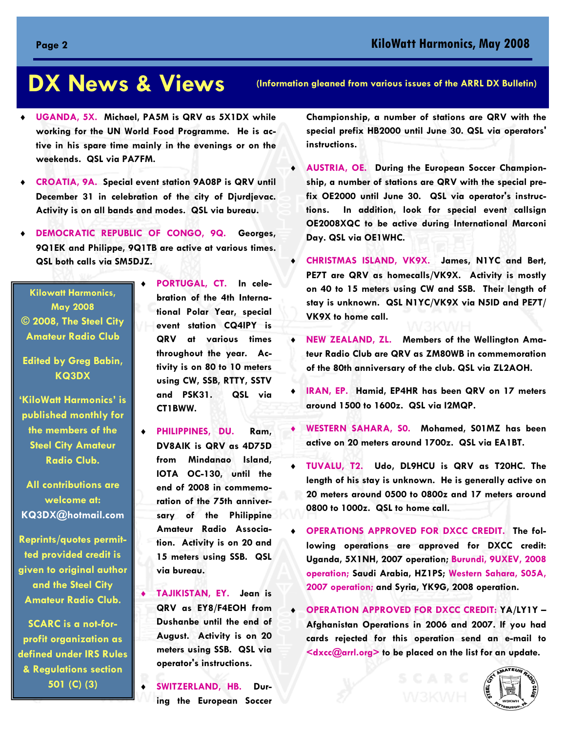### <span id="page-1-0"></span>**DX News & Views**

- ♦ **UGANDA, 5X. Michael, PA5M is QRV as 5X1DX while working for the UN World Food Programme. He is active in his spare time mainly in the evenings or on the weekends. QSL via PA7FM.**
- ♦ **CROATIA, 9A. Special event station 9A08P is QRV until December 31 in celebration of the city of Djurdjevac. Activity is on all bands and modes. QSL via bureau.**
- ♦ **DEMOCRATIC REPUBLIC OF CONGO, 9Q. Georges, 9Q1EK and Philippe, 9Q1TB are active at various times. QSL both calls via SM5DJZ.**

**Kilowatt Harmonics, May 2008 © 2008, The Steel City Amateur Radio Club** 

**Edited by Greg Babin, KQ3DX** 

**'KiloWatt Harmonics' is published monthly for the members of the Steel City Amateur Radio Club.** 

**All contributions are welcome at: KQ3DX@hotmail.com**

**Reprints/quotes permitted provided credit is given to original author and the Steel City Amateur Radio Club.** 

**SCARC is a not-forprofit organization as defined under IRS Rules & Regulations section 501 (C) (3)** 

♦ **PORTUGAL, CT. In celebration of the 4th International Polar Year, special event station CQ4IPY is QRV at various times throughout the year. Activity is on 80 to 10 meters using CW, SSB, RTTY, SSTV and PSK31. QSL via CT1BWW.** 

♦ **PHILIPPINES, DU. Ram, DV8AIK is QRV as 4D75D from Mindanao Island, IOTA OC-130, until the end of 2008 in commemoration of the 75th anniversary of the Philippine Amateur Radio Association. Activity is on 20 and 15 meters using SSB. QSL via bureau.** 

♦ **TAJIKISTAN, EY. Jean is QRV as EY8/F4EOH from Dushanbe until the end of August. Activity is on 20 meters using SSB. QSL via operator's instructions.**

SWITZERLAND, HB. Dur**ing the European Soccer** 

**(Information gleaned from various issues of the ARRL DX Bulletin)** 

**Championship, a number of stations are QRV with the special prefix HB2000 until June 30. QSL via operators' instructions.** 

- **AUSTRIA, OE. During the European Soccer Championship, a number of stations are QRV with the special prefix OE2000 until June 30. QSL via operator's instructions. In addition, look for special event callsign OE2008XQC to be active during International Marconi Day. QSL via OE1WHC.**
- ♦ **CHRISTMAS ISLAND, VK9X. James, N1YC and Bert, PE7T are QRV as homecalls/VK9X. Activity is mostly on 40 to 15 meters using CW and SSB. Their length of stay is unknown. QSL N1YC/VK9X via N5ID and PE7T/ VK9X to home call.**
- ♦ **NEW ZEALAND, ZL. Members of the Wellington Amateur Radio Club are QRV as ZM80WB in commemoration of the 80th anniversary of the club. QSL via ZL2AOH.**
- ♦ **IRAN, EP. Hamid, EP4HR has been QRV on 17 meters around 1500 to 1600z. QSL via I2MQP.**
- WESTERN SAHARA, SO. Mohamed, SO1MZ has been **active on 20 meters around 1700z. QSL via EA1BT.**
- ♦ **TUVALU, T2. Udo, DL9HCU is QRV as T20HC. The length of his stay is unknown. He is generally active on 20 meters around 0500 to 0800z and 17 meters around 0800 to 1000z. QSL to home call.**
- ♦ **OPERATIONS APPROVED FOR DXCC CREDIT. The following operations are approved for DXCC credit: Uganda, 5X1NH, 2007 operation; Burundi, 9UXEV, 2008 operation; Saudi Arabia, HZ1PS; Western Sahara, S05A, 2007 operation; and Syria, YK9G, 2008 operation.**
- ♦ **OPERATION APPROVED FOR DXCC CREDIT: YA/LY1Y Afghanistan Operations in 2006 and 2007. If you had cards rejected for this operation send an e-mail to <dxcc@arrl.org> to be placed on the list for an update.**

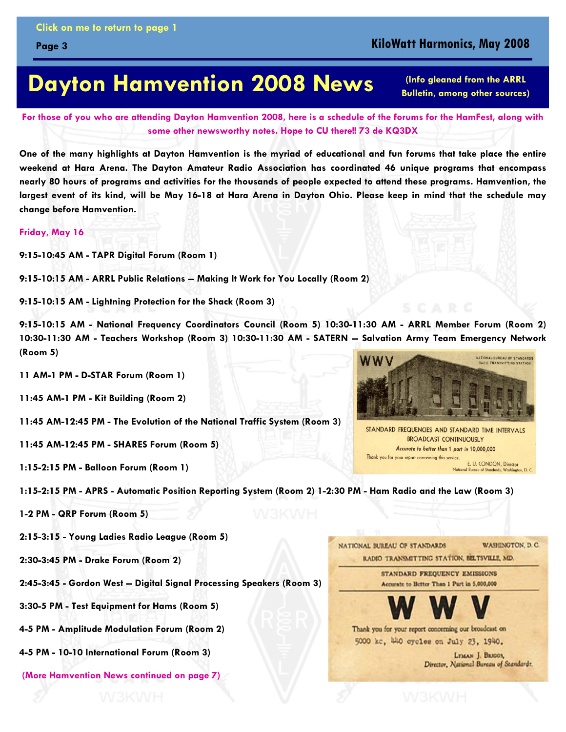### **KiloWatt Harmonics, May 2008**

### <span id="page-2-0"></span>**Dayton Hamvention 2008 News**

**(Info gleaned from the ARRL Bulletin, among other sources)** 

**For those of you who are attending Dayton Hamvention 2008, here is a schedule of the forums for the HamFest, along with some other newsworthy notes. Hope to CU there!! 73 de KQ3DX** 

**One of the many highlights at Dayton Hamvention is the myriad of educational and fun forums that take place the entire weekend at Hara Arena. The Dayton Amateur Radio Association has coordinated 46 unique programs that encompass nearly 80 hours of programs and activities for the thousands of people expected to attend these programs. Hamvention, the largest event of its kind, will be May 16-18 at Hara Arena in Dayton Ohio. Please keep in mind that the schedule may change before Hamvention.** 

#### **Friday, May 16**

**9:15-10:45 AM - TAPR Digital Forum (Room 1)** 

**9:15-10:15 AM - ARRL Public Relations -- Making It Work for You Locally (Room 2)** 

**9:15-10:15 AM - Lightning Protection for the Shack (Room 3)** 

**9:15-10:15 AM - National Frequency Coordinators Council (Room 5) 10:30-11:30 AM - ARRL Member Forum (Room 2) 10:30-11:30 AM - Teachers Workshop (Room 3) 10:30-11:30 AM - SATERN -- Salvation Army Team Emergency Network (Room 5)** 

**11 AM-1 PM - D-STAR Forum (Room 1)** 

**11:45 AM-1 PM - Kit Building (Room 2)** 

**11:45 AM-12:45 PM - The Evolution of the National Traffic System (Room 3)** 

**11:45 AM-12:45 PM - SHARES Forum (Room 5)** 

**1:15-2:15 PM - Balloon Forum (Room 1)** 



STANDARD FREQUENCIES AND STANDARD TIME INTERVALS **BROADCAST CONTINUOUSLY** Accurate to better than 1 part in 10,000,000 Thank you for your report concerning this service. E. U. CONDON, Director rds. Washington, D. C.

**1:15-2:15 PM - APRS - Automatic Position Reporting System (Room 2) 1-2:30 PM - Ham Radio and the Law (Room 3)** 

**1-2 PM - QRP Forum (Room 5)** 

**2:15-3:15 - Young Ladies Radio League (Room 5)** 

**2:30-3:45 PM - Drake Forum (Room 2)** 

**2:45-3:45 - Gordon West -- Digital Signal Processing Speakers (Room 3)** 

**3:30-5 PM - Test Equipment for Hams (Room 5)** 

**4-5 PM - Amplitude Modulation Forum (Room 2)** 

**4-5 PM - 10-10 International Forum (Room 3)** 

**[\(More Hamvention News continued on page 7\)](#page-6-0)** 

NATIONAL BUREAU OF STANDARDS **WASHINGTON, D.C.** RADIO TRANSMITTING STATION, BELTSVILLE, MD.

> **STANDARD FREQUENCY EMISSIONS** Accurate to Better Than 1 Part in 5,000,000



Thank you for your report concerning our broadcast on 5000 kc, 440 cycles on July 23, 1940.

> LYMAN J. BRIGGS, Director, National Bureau of Standards.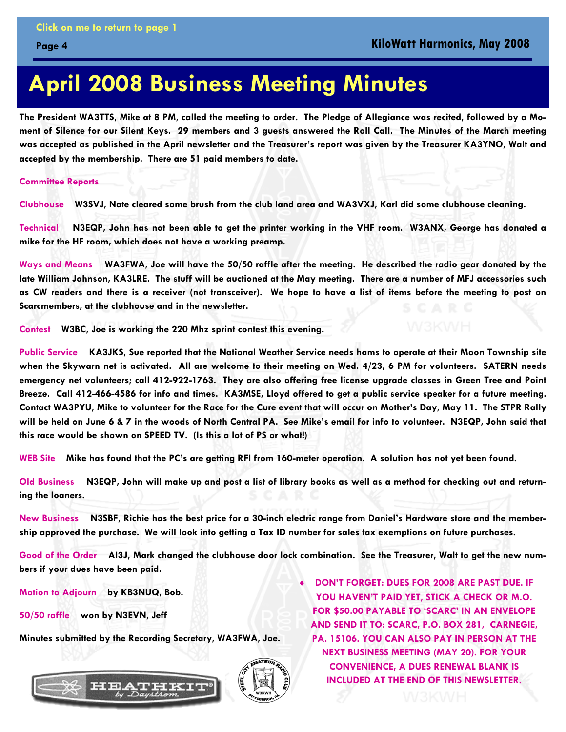### **April 2008 Business Meeting Minutes**

**The President WA3TTS, Mike at 8 PM, called the meeting to order. The Pledge of Allegiance was recited, followed by a Moment of Silence for our Silent Keys. 29 members and 3 guests answered the Roll Call. The Minutes of the March meeting was accepted as published in the April newsletter and the Treasurer's report was given by the Treasurer KA3YNO, Walt and accepted by the membership. There are 51 paid members to date.** 

**Committee Reports** 

<span id="page-3-0"></span>**Page 4** 

**Clubhouse W3SVJ, Nate cleared some brush from the club land area and WA3VXJ, Karl did some clubhouse cleaning.** 

**Technical N3EQP, John has not been able to get the printer working in the VHF room. W3ANX, George has donated a mike for the HF room, which does not have a working preamp.** 

**Ways and Means WA3FWA, Joe will have the 50/50 raffle after the meeting. He described the radio gear donated by the late William Johnson, KA3LRE. The stuff will be auctioned at the May meeting. There are a number of MFJ accessories such as CW readers and there is a receiver (not transceiver). We hope to have a list of items before the meeting to post on Scarcmembers, at the clubhouse and in the newsletter.** 

**Contest W3BC, Joe is working the 220 Mhz sprint contest this evening.** 

**Public Service KA3JKS, Sue reported that the National Weather Service needs hams to operate at their Moon Township site when the Skywarn net is activated. All are welcome to their meeting on Wed. 4/23, 6 PM for volunteers. SATERN needs emergency net volunteers; call 412-922-1763. They are also offering free license upgrade classes in Green Tree and Point Breeze. Call 412-466-4586 for info and times. KA3MSE, Lloyd offered to get a public service speaker for a future meeting. Contact WA3PYU, Mike to volunteer for the Race for the Cure event that will occur on Mother's Day, May 11. The STPR Rally will be held on June 6 & 7 in the woods of North Central PA. See Mike's email for info to volunteer. N3EQP, John said that this race would be shown on SPEED TV. (Is this a lot of PS or what!)** 

**WEB Site Mike has found that the PC's are getting RFI from 160-meter operation. A solution has not yet been found.** 

**Old Business N3EQP, John will make up and post a list of library books as well as a method for checking out and returning the loaners.** 

**New Business N3SBF, Richie has the best price for a 30-inch electric range from Daniel's Hardware store and the membership approved the purchase. We will look into getting a Tax ID number for sales tax exemptions on future purchases.** 

**Good of the Order AI3J, Mark changed the clubhouse door lock combination. See the Treasurer, Walt to get the new numbers if your dues have been paid.** 

**Motion to Adjourn by KB3NUQ, Bob.** 

**50/50 raffle won by N3EVN, Jeff** 

**Minutes submitted by the Recording Secretary, WA3FWA, Joe.** 



**DON'T FORGET: DUES FOR 2008 ARE PAST DUE. IF YOU HAVEN'T PAID YET, STICK A CHECK OR M.O. FOR \$50.00 PAYABLE TO 'SCARC' IN AN ENVELOPE AND SEND IT TO: SCARC, P.O. BOX 281, CARNEGIE, PA. 15106. YOU CAN ALSO PAY IN PERSON AT THE NEXT BUSINESS MEETING (MAY 20). FOR YOUR CONVENIENCE, A DUES RENEWAL BLANK IS [INCLUDED AT THE END OF THIS NEWSLETTER.](#page-22-0)**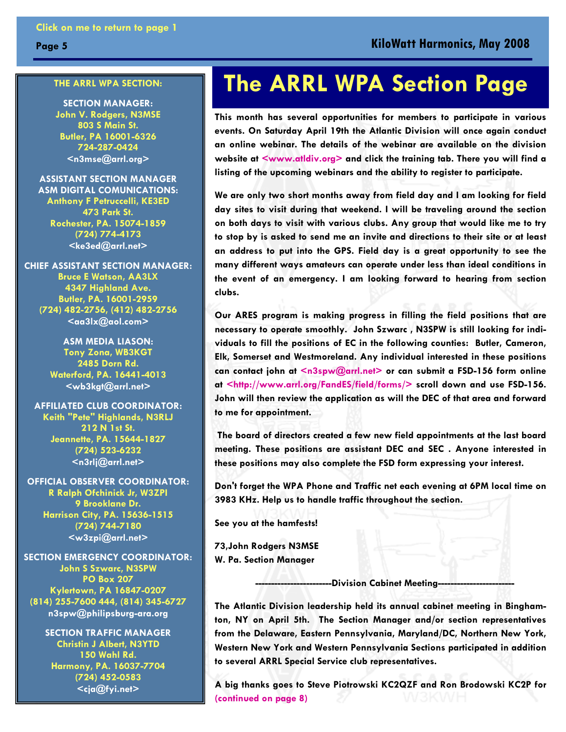#### <span id="page-4-0"></span>**THE ARRL WPA SECTION:**

**SECTION MANAGER: John V. Rodgers, N3MSE 803 S Main St. Butler, PA 16001-6326 724-287-0424 <n3mse@arrl.org>**

**ASSISTANT SECTION MANAGER ASM DIGITAL COMUNICATIONS: Anthony F Petruccelli, KE3ED 473 Park St. Rochester, PA. 15074-1859 (724) 774-4173 <ke3ed@arrl.net>** 

**CHIEF ASSISTANT SECTION MANAGER: Bruce E Watson, AA3LX 4347 Highland Ave. Butler, PA. 16001-2959 (724) 482-2756, (412) 482-2756**   $\leq$ aa $3$ lx $@$ aol.com $>$ 

> **ASM MEDIA LIASON: Tony Zona, WB3KGT 2485 Dorn Rd. Waterford, PA. 16441-4013 <wb3kgt@arrl.net>**

**AFFILIATED CLUB COORDINATOR: Keith "Pete" Highlands, N3RLJ 212 N 1st St. Jeannette, PA. 15644-1827 (724) 523-6232 <n3rlj@arrl.net>** 

**OFFICIAL OBSERVER COORDINATOR: R Ralph Ofchinick Jr, W3ZPI 9 Brooklane Dr. Harrison City, PA. 15636-1515 (724) 744-7180 <w3zpi@arrl.net>** 

**SECTION EMERGENCY COORDINATOR: John S Szwarc, N3SPW PO Box 207 Kylertown, PA 16847-0207 (814) 255-7600 444, (814) 345-6727 n3spw@philipsburg-ara.org**

> **SECTION TRAFFIC MANAGER Christin J Albert, N3YTD 150 Wahl Rd. Harmony, PA. 16037-7704 (724) 452-0583 <cja@fyi.net>**

### **The ARRL WPA Section Page**

**This month has several opportunities for members to participate in various events. On Saturday April 19th the Atlantic Division will once again conduct an online webinar. The details of the webinar are available on the division website at <www.atldiv.org> and click the training tab. There you will find a listing of the upcoming webinars and the ability to register to participate.** 

**We are only two short months away from field day and I am looking for field day sites to visit during that weekend. I will be traveling around the section on both days to visit with various clubs. Any group that would like me to try to stop by is asked to send me an invite and directions to their site or at least an address to put into the GPS. Field day is a great opportunity to see the many different ways amateurs can operate under less than ideal conditions in the event of an emergency. I am looking forward to hearing from section clubs.** 

**Our ARES program is making progress in filling the field positions that are necessary to operate smoothly. John Szwarc , N3SPW is still looking for individuals to fill the positions of EC in the following counties: Butler, Cameron, Elk, Somerset and Westmoreland. Any individual interested in these positions**  can contact john at <n3spw@arrl.net> or can submit a FSD-156 form online **at <http://www.arrl.org/FandES/field/forms/> scroll down and use FSD-156. John will then review the application as will the DEC of that area and forward to me for appointment.** 

 **The board of directors created a few new field appointments at the last board meeting. These positions are assistant DEC and SEC . Anyone interested in these positions may also complete the FSD form expressing your interest.** 

**Don't forget the WPA Phone and Traffic net each evening at 6PM local time on 3983 KHz. Help us to handle traffic throughout the section.** 

**See you at the hamfests!** 

**73,John Rodgers N3MSE W. Pa. Section Manager** 

**-Division Cabinet Meeting--**

**The Atlantic Division leadership held its annual cabinet meeting in Binghamton, NY on April 5th. The Section Manager and/or section representatives from the Delaware, Eastern Pennsylvania, Maryland/DC, Northern New York, Western New York and Western Pennsylvania Sections participated in addition to several ARRL Special Service club representatives.** 

**A big thanks goes to Steve Piotrowski KC2QZF and Ron Brodowski KC2P for [\(continued on page 8\)](#page-7-0)**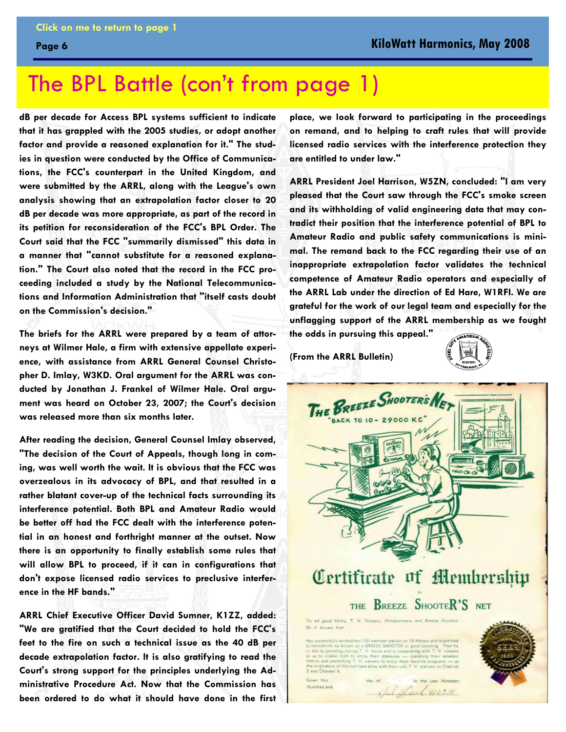### <span id="page-5-0"></span>The BPL Battle [\(con't from page 1\)](#page-0-0)

**dB per decade for Access BPL systems sufficient to indicate that it has grappled with the 2005 studies, or adopt another factor and provide a reasoned explanation for it." The studies in question were conducted by the Office of Communications, the FCC's counterpart in the United Kingdom, and were submitted by the ARRL, along with the League's own analysis showing that an extrapolation factor closer to 20 dB per decade was more appropriate, as part of the record in its petition for reconsideration of the FCC's BPL Order. The Court said that the FCC "summarily dismissed" this data in a manner that "cannot substitute for a reasoned explanation." The Court also noted that the record in the FCC proceeding included a study by the National Telecommunications and Information Administration that "itself casts doubt on the Commission's decision."** 

**The briefs for the ARRL were prepared by a team of attorneys at Wilmer Hale, a firm with extensive appellate experience, with assistance from ARRL General Counsel Christopher D. Imlay, W3KD. Oral argument for the ARRL was conducted by Jonathan J. Frankel of Wilmer Hale. Oral argument was heard on October 23, 2007; the Court's decision was released more than six months later.** 

**After reading the decision, General Counsel Imlay observed, "The decision of the Court of Appeals, though long in coming, was well worth the wait. It is obvious that the FCC was overzealous in its advocacy of BPL, and that resulted in a rather blatant cover-up of the technical facts surrounding its interference potential. Both BPL and Amateur Radio would be better off had the FCC dealt with the interference potential in an honest and forthright manner at the outset. Now there is an opportunity to finally establish some rules that will allow BPL to proceed, if it can in configurations that don't expose licensed radio services to preclusive interference in the HF bands."** 

**ARRL Chief Executive Officer David Sumner, K1ZZ, added: "We are gratified that the Court decided to hold the FCC's feet to the fire on such a technical issue as the 40 dB per decade extrapolation factor. It is also gratifying to read the Court's strong support for the principles underlying the Administrative Procedure Act. Now that the Commission has been ordered to do what it should have done in the first**  **place, we look forward to participating in the proceedings on remand, and to helping to craft rules that will provide licensed radio services with the interference protection they are entitled to under law."** 

**ARRL President Joel Harrison, W5ZN, concluded: "I am very pleased that the Court saw through the FCC's smoke screen and its withholding of valid engineering data that may contradict their position that the interference potential of BPL to Amateur Radio and public safety communications is minimal. The remand back to the FCC regarding their use of an inappropriate extrapolation factor validates the technical competence of Amateur Radio operators and especially of the ARRL Lab under the direction of Ed Hare, W1RFI. We are grateful for the work of our legal team and especially for the unflagging support of the ARRL membership as we fought the odds in pursuing this appeal."** 

**(From the ARRL Bulletin)** 



Luc W3SIR

ten (10) member station on 10 Meters and is entitled<br>ae a BREEZE SHOOTER in good standing. That he cessfully worked ten (10) m

Given this Hundred and

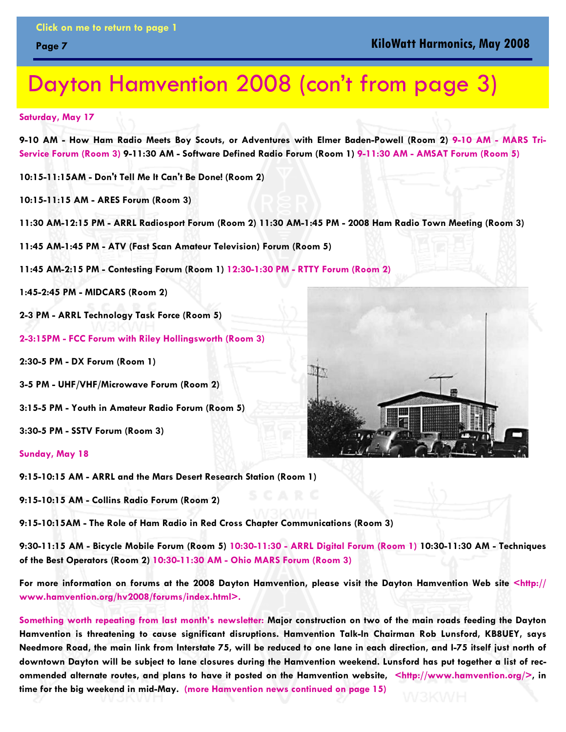### <span id="page-6-0"></span>Dayton Hamvention 2008 [\(con't from page 3\)](#page-2-0)

**Saturday, May 17** 

**9-10 AM - How Ham Radio Meets Boy Scouts, or Adventures with Elmer Baden-Powell (Room 2) 9-10 AM - MARS Tri-Service Forum (Room 3) 9-11:30 AM - Software Defined Radio Forum (Room 1) 9-11:30 AM - AMSAT Forum (Room 5)** 

**10:15-11:15AM - Don't Tell Me It Can't Be Done! (Room 2)** 

**10:15-11:15 AM - ARES Forum (Room 3)** 

**11:30 AM-12:15 PM - ARRL Radiosport Forum (Room 2) 11:30 AM-1:45 PM - 2008 Ham Radio Town Meeting (Room 3)** 

**11:45 AM-1:45 PM - ATV (Fast Scan Amateur Television) Forum (Room 5)** 

**11:45 AM-2:15 PM - Contesting Forum (Room 1) 12:30-1:30 PM - RTTY Forum (Room 2)** 

**1:45-2:45 PM - MIDCARS (Room 2)** 

**2-3 PM - ARRL Technology Task Force (Room 5)** 

**2-3:15PM - FCC Forum with Riley Hollingsworth (Room 3)** 

**2:30-5 PM - DX Forum (Room 1)** 

**3-5 PM - UHF/VHF/Microwave Forum (Room 2)** 

**3:15-5 PM - Youth in Amateur Radio Forum (Room 5)** 

**3:30-5 PM - SSTV Forum (Room 3)** 

**Sunday, May 18** 

**9:15-10:15 AM - ARRL and the Mars Desert Research Station (Room 1)** 

**9:15-10:15 AM - Collins Radio Forum (Room 2)** 

**9:15-10:15AM - The Role of Ham Radio in Red Cross Chapter Communications (Room 3)** 

**9:30-11:15 AM - Bicycle Mobile Forum (Room 5) 10:30-11:30 - ARRL Digital Forum (Room 1) 10:30-11:30 AM - Techniques of the Best Operators (Room 2) 10:30-11:30 AM - Ohio MARS Forum (Room 3)** 

**For more information on forums at the 2008 Dayton Hamvention, please visit the Dayton Hamvention Web site <http:// www.hamvention.org/hv2008/forums/index.html>.**

**Something worth repeating from last month's newsletter: Major construction on two of the main roads feeding the Dayton Hamvention is threatening to cause significant disruptions. Hamvention Talk-In Chairman Rob Lunsford, KB8UEY, says Needmore Road, the main link from Interstate 75, will be reduced to one lane in each direction, and I-75 itself just north of downtown Dayton will be subject to lane closures during the Hamvention weekend. Lunsford has put together a list of recommended alternate routes, and plans to have it posted on the Hamvention website, <http://www.hamvention.org/>, in time for the big weekend in mid-May. [\(more Hamvention news continued on page 15\)](#page-14-0)**

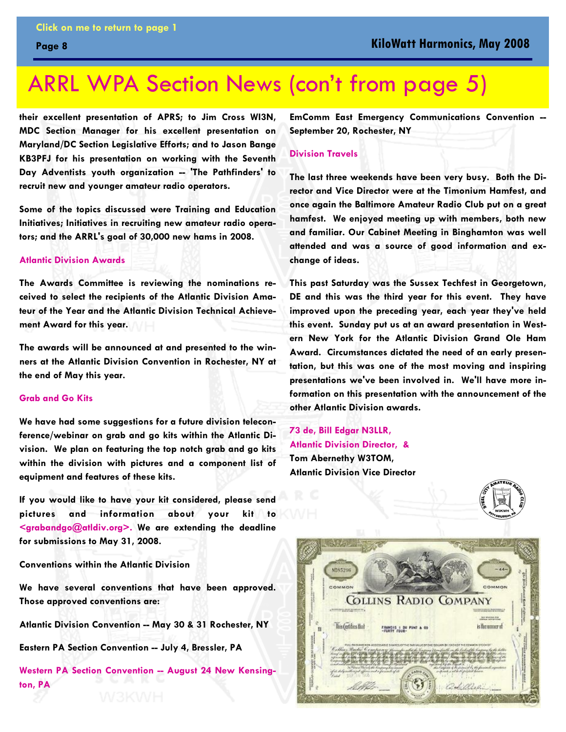### <span id="page-7-0"></span>ARRL WPA Section News [\(con't from page 5\)](#page-4-0)

**their excellent presentation of APRS; to Jim Cross WI3N, MDC Section Manager for his excellent presentation on Maryland/DC Section Legislative Efforts; and to Jason Bange KB3PFJ for his presentation on working with the Seventh**  Day Adventists youth organization -- 'The Pathfinders' to **recruit new and younger amateur radio operators.** 

**Some of the topics discussed were Training and Education Initiatives; Initiatives in recruiting new amateur radio operators; and the ARRL's goal of 30,000 new hams in 2008.** 

#### **Atlantic Division Awards**

**The Awards Committee is reviewing the nominations received to select the recipients of the Atlantic Division Amateur of the Year and the Atlantic Division Technical Achievement Award for this year.** 

**The awards will be announced at and presented to the winners at the Atlantic Division Convention in Rochester, NY at the end of May this year.** 

#### **Grab and Go Kits**

**We have had some suggestions for a future division teleconference/webinar on grab and go kits within the Atlantic Division. We plan on featuring the top notch grab and go kits within the division with pictures and a component list of equipment and features of these kits.** 

**If you would like to have your kit considered, please send pictures and information about your kit to <grabandgo@atldiv.org>. We are extending the deadline for submissions to May 31, 2008.** 

**Conventions within the Atlantic Division** 

**We have several conventions that have been approved. Those approved conventions are:** 

**Atlantic Division Convention -- May 30 & 31 Rochester, NY** 

**Eastern PA Section Convention -- July 4, Bressler, PA** 

**Western PA Section Convention -- August 24 New Kensington, PA** 

**EmComm East Emergency Communications Convention -- September 20, Rochester, NY** 

#### **Division Travels**

**The last three weekends have been very busy. Both the Director and Vice Director were at the Timonium Hamfest, and once again the Baltimore Amateur Radio Club put on a great hamfest. We enjoyed meeting up with members, both new and familiar. Our Cabinet Meeting in Binghamton was well attended and was a source of good information and exchange of ideas.** 

**This past Saturday was the Sussex Techfest in Georgetown, DE and this was the third year for this event. They have improved upon the preceding year, each year they've held this event. Sunday put us at an award presentation in Western New York for the Atlantic Division Grand Ole Ham Award. Circumstances dictated the need of an early presentation, but this was one of the most moving and inspiring presentations we've been involved in. We'll have more information on this presentation with the announcement of the other Atlantic Division awards.** 

**73 de, Bill Edgar N3LLR, Atlantic Division Director, & Tom Abernethy W3TOM, Atlantic Division Vice Director** 

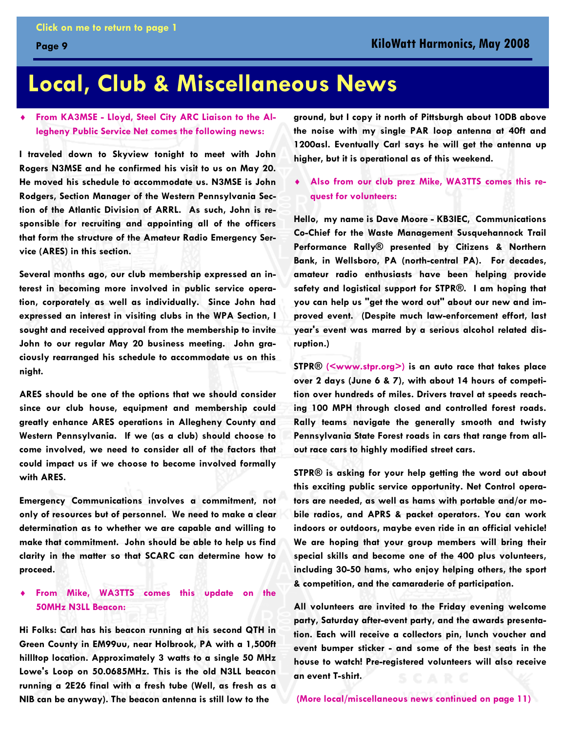### <span id="page-8-0"></span>**Local, Club & Miscellaneous News**

### ♦ **From KA3MSE - Lloyd, Steel City ARC Liaison to the Allegheny Public Service Net comes the following news:**

**I traveled down to Skyview tonight to meet with John Rogers N3MSE and he confirmed his visit to us on May 20. He moved his schedule to accommodate us. N3MSE is John Rodgers, Section Manager of the Western Pennsylvania Section of the Atlantic Division of ARRL. As such, John is responsible for recruiting and appointing all of the officers that form the structure of the Amateur Radio Emergency Service (ARES) in this section.** 

**Several months ago, our club membership expressed an interest in becoming more involved in public service operation, corporately as well as individually. Since John had expressed an interest in visiting clubs in the WPA Section, I sought and received approval from the membership to invite**  John to our regular May 20 business meeting. John gra**ciously rearranged his schedule to accommodate us on this night.** 

**ARES should be one of the options that we should consider since our club house, equipment and membership could greatly enhance ARES operations in Allegheny County and Western Pennsylvania. If we (as a club) should choose to come involved, we need to consider all of the factors that could impact us if we choose to become involved formally with ARES.** 

**Emergency Communications involves a commitment, not only of resources but of personnel. We need to make a clear determination as to whether we are capable and willing to make that commitment. John should be able to help us find clarity in the matter so that SCARC can determine how to proceed.** 

#### ♦ **From Mike, WA3TTS comes this update on the 50MHz N3LL Beacon:**

**Hi Folks: Carl has his beacon running at his second QTH in Green County in EM99uu, near Holbrook, PA with a 1,500ft hillltop location. Approximately 3 watts to a single 50 MHz Lowe's Loop on 50.0685MHz. This is the old N3LL beacon running a 2E26 final with a fresh tube (Well, as fresh as a NIB can be anyway). The beacon antenna is still low to the** 

**ground, but I copy it north of Pittsburgh about 10DB above the noise with my single PAR loop antenna at 40ft and 1200asl. Eventually Carl says he will get the antenna up higher, but it is operational as of this weekend.** 

♦ **Also from our club prez Mike, WA3TTS comes this request for volunteers:** 

**Hello, my name is Dave Moore - KB3IEC, Communications Co-Chief for the Waste Management Susquehannock Trail Performance Rally® presented by Citizens & Northern Bank, in Wellsboro, PA (north-central PA). For decades, amateur radio enthusiasts have been helping provide safety and logistical support for STPR®. I am hoping that you can help us "get the word out" about our new and improved event. (Despite much law-enforcement effort, last year's event was marred by a serious alcohol related disruption.)** 

**STPR® (<www.stpr.org>) is an auto race that takes place over 2 days (June 6 & 7), with about 14 hours of competition over hundreds of miles. Drivers travel at speeds reaching 100 MPH through closed and controlled forest roads. Rally teams navigate the generally smooth and twisty Pennsylvania State Forest roads in cars that range from allout race cars to highly modified street cars.** 

**STPR® is asking for your help getting the word out about this exciting public service opportunity. Net Control operators are needed, as well as hams with portable and/or mobile radios, and APRS & packet operators. You can work indoors or outdoors, maybe even ride in an official vehicle! We are hoping that your group members will bring their special skills and become one of the 400 plus volunteers, including 30-50 hams, who enjoy helping others, the sport & competition, and the camaraderie of participation.** 

**All volunteers are invited to the Friday evening welcome party, Saturday after-event party, and the awards presentation. Each will receive a collectors pin, lunch voucher and event bumper sticker - and some of the best seats in the house to watch! Pre-registered volunteers will also receive an event T-shirt.** 

**[\(More local/miscellaneous news continued on page 11\)](#page-10-0)**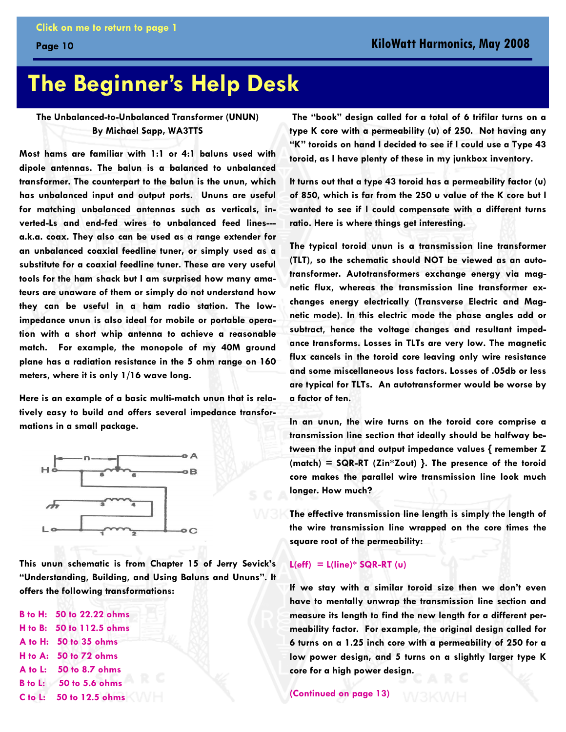### <span id="page-9-0"></span>**The Beginner's Help Desk**

#### **The Unbalanced-to-Unbalanced Transformer (UNUN) By Michael Sapp, WA3TTS**

**Most hams are familiar with 1:1 or 4:1 baluns used with dipole antennas. The balun is a balanced to unbalanced transformer. The counterpart to the balun is the unun, which has unbalanced input and output ports. Ununs are useful for matching unbalanced antennas such as verticals, inverted-Ls and end-fed wires to unbalanced feed lines-- a.k.a. coax. They also can be used as a range extender for an unbalanced coaxial feedline tuner, or simply used as a substitute for a coaxial feedline tuner. These are very useful tools for the ham shack but I am surprised how many amateurs are unaware of them or simply do not understand how they can be useful in a ham radio station. The lowimpedance unun is also ideal for mobile or portable operation with a short whip antenna to achieve a reasonable match. For example, the monopole of my 40M ground plane has a radiation resistance in the 5 ohm range on 160 meters, where it is only 1/16 wave long.** 

**Here is an example of a basic multi-match unun that is relatively easy to build and offers several impedance transformations in a small package.** 



**This unun schematic is from Chapter 15 of Jerry Sevick's "Understanding, Building, and Using Baluns and Ununs". It offers the following transformations:** 

**B to H: 50 to 22.22 ohms H to B: 50 to 112.5 ohms A to H: 50 to 35 ohms H to A: 50 to 72 ohms A to L: 50 to 8.7 ohms B to L: 50 to 5.6 ohms C to L: 50 to 12.5 ohms** 

 **The "book" design called for a total of 6 trifilar turns on a type K core with a permeability (u) of 250. Not having any "K" toroids on hand I decided to see if I could use a Type 43 toroid, as I have plenty of these in my junkbox inventory.** 

**It turns out that a type 43 toroid has a permeability factor (u) of 850, which is far from the 250 u value of the K core but I wanted to see if I could compensate with a different turns ratio. Here is where things get interesting.** 

**The typical toroid unun is a transmission line transformer (TLT), so the schematic should NOT be viewed as an autotransformer. Autotransformers exchange energy via magnetic flux, whereas the transmission line transformer exchanges energy electrically (Transverse Electric and Magnetic mode). In this electric mode the phase angles add or subtract, hence the voltage changes and resultant impedance transforms. Losses in TLTs are very low. The magnetic flux cancels in the toroid core leaving only wire resistance and some miscellaneous loss factors. Losses of .05db or less are typical for TLTs. An autotransformer would be worse by a factor of ten.** 

**In an unun, the wire turns on the toroid core comprise a transmission line section that ideally should be halfway between the input and output impedance values { remember Z (match) = SQR-RT (Zin\*Zout) }. The presence of the toroid core makes the parallel wire transmission line look much longer. How much?** 

**The effective transmission line length is simply the length of the wire transmission line wrapped on the core times the square root of the permeability:** 

#### **L(eff) = L(line)\* SQR-RT (u)**

**If we stay with a similar toroid size then we don't even have to mentally unwrap the transmission line section and measure its length to find the new length for a different permeability factor. For example, the original design called for 6 turns on a 1.25 inch core with a permeability of 250 for a low power design, and 5 turns on a slightly larger type K core for a high power design.** 

**[\(Continued on page 13\)](#page-12-0)**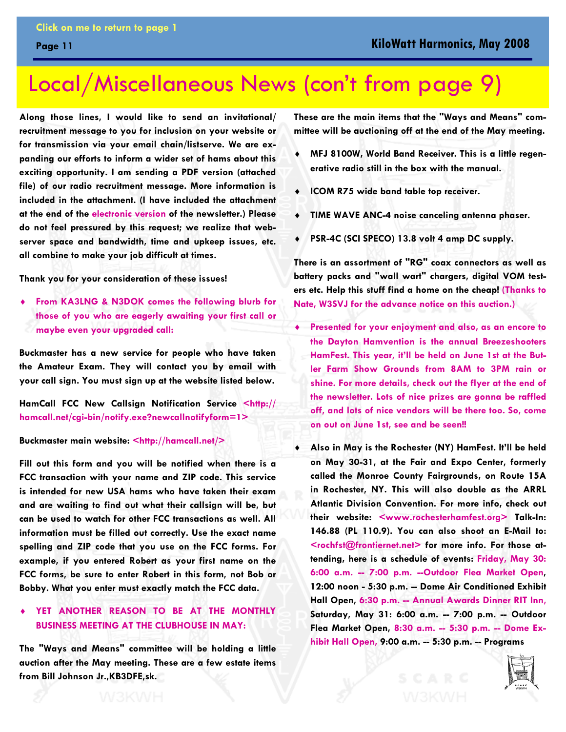### <span id="page-10-0"></span>Local/Miscellaneous News [\(con't from page 9\)](#page-8-0)

**Along those lines, I would like to send an invitational/ recruitment message to you for inclusion on your website or for transmission via your email chain/listserve. We are expanding our efforts to inform a wider set of hams about this exciting opportunity. I am sending a PDF version (attached file) of our radio recruitment message. More information is included in the attachment. (I have included the attachment at the end of the electronic version of the newsletter.) Please do not feel pressured by this request; we realize that webserver space and bandwidth, time and upkeep issues, etc. all combine to make your job difficult at times.** 

**Thank you for your consideration of these issues!** 

♦ **From KA3LNG & N3DOK comes the following blurb for those of you who are eagerly awaiting your first call or maybe even your upgraded call:** 

**Buckmaster has a new service for people who have taken the Amateur Exam. They will contact you by email with your call sign. You must sign up at the website listed below.** 

**HamCall FCC New Callsign Notification Service <http:// hamcall.net/cgi-bin/notify.exe?newcallnotifyform=1>** 

#### **Buckmaster main website: <http://hamcall.net/>**

**Fill out this form and you will be notified when there is a FCC transaction with your name and ZIP code. This service is intended for new USA hams who have taken their exam and are waiting to find out what their callsign will be, but can be used to watch for other FCC transactions as well. All information must be filled out correctly. Use the exact name spelling and ZIP code that you use on the FCC forms. For example, if you entered Robert as your first name on the FCC forms, be sure to enter Robert in this form, not Bob or Bobby. What you enter must exactly match the FCC data.** 

### YET ANOTHER REASON TO BE AT THE MONTHLY **BUSINESS MEETING AT THE CLUBHOUSE IN MAY:**

**The "Ways and Means" committee will be holding a little auction after the May meeting. These are a few estate items from Bill Johnson Jr.,KB3DFE,sk.** 

**These are the main items that the "Ways and Means" committee will be auctioning off at the end of the May meeting.** 

- MFJ 8100W, World Band Receiver. This is a little regen**erative radio still in the box with the manual.**
- ♦ **ICOM R75 wide band table top receiver.**
- ♦ **TIME WAVE ANC-4 noise canceling antenna phaser.**
- PSR-4C (SCI SPECO) 13.8 volt 4 amp DC supply.

**There is an assortment of "RG" coax connectors as well as battery packs and "wall wart" chargers, digital VOM testers etc. Help this stuff find a home on the cheap! (Thanks to Nate, W3SVJ for the advance notice on this auction.)** 

- ♦ **Presented for your enjoyment and also, as an encore to the Dayton Hamvention is the annual Breezeshooters HamFest. This year, it'll be held on June 1st at the Butler Farm Show Grounds from 8AM to 3PM rain or shine. For more details, check out the flyer at the end of the newsletter. Lots of nice prizes are gonna be raffled off, and lots of nice vendors will be there too. So, come on out on June 1st, see and be seen!!**
- ♦ **Also in May is the Rochester (NY) HamFest. It'll be held on May 30-31, at the Fair and Expo Center, formerly called the Monroe County Fairgrounds, on Route 15A in Rochester, NY. This will also double as the ARRL Atlantic Division Convention. For more info, check out their website: <www.rochesterhamfest.org> Talk-In: 146.88 (PL 110.9). You can also shoot an E-Mail to:**  <rochfst@frontiernet.net> for more info. For those at**tending, here is a schedule of events: Friday, May 30: 6:00 a.m. -- 7:00 p.m. --Outdoor Flea Market Open, 12:00 noon - 5:30 p.m. -- Dome Air Conditioned Exhibit Hall Open, 6:30 p.m. -- Annual Awards Dinner RIT Inn, Saturday, May 31: 6:00 a.m. -- 7:00 p.m. -- Outdoor Flea Market Open, 8:30 a.m. -- 5:30 p.m. -- Dome Exhibit Hall Open, 9:00 a.m. -- 5:30 p.m. -- Programs**

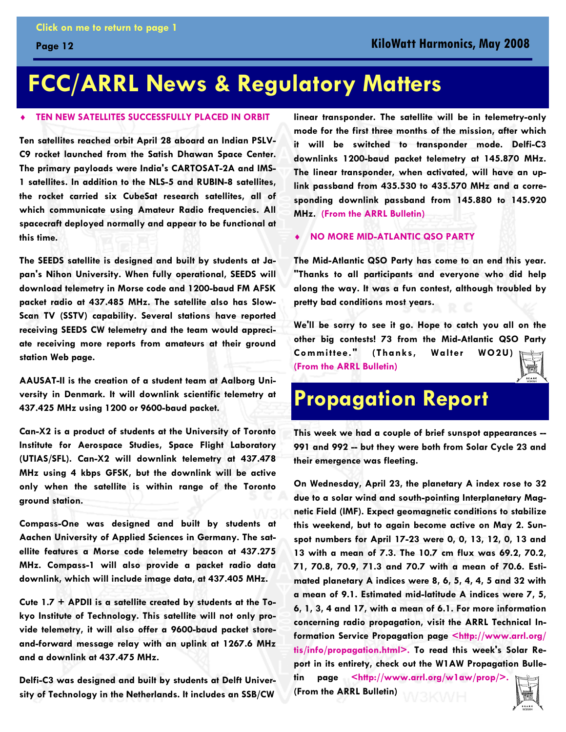### <span id="page-11-0"></span>**FCC/ARRL News & Regulatory Matters**

#### **TEN NEW SATELLITES SUCCESSFULLY PLACED IN ORBIT**

**Ten satellites reached orbit April 28 aboard an Indian PSLV-C9 rocket launched from the Satish Dhawan Space Center. The primary payloads were India's CARTOSAT-2A and IMS-1 satellites. In addition to the NLS-5 and RUBIN-8 satellites, the rocket carried six CubeSat research satellites, all of which communicate using Amateur Radio frequencies. All spacecraft deployed normally and appear to be functional at this time.** 

**The SEEDS satellite is designed and built by students at Japan's Nihon University. When fully operational, SEEDS will download telemetry in Morse code and 1200-baud FM AFSK packet radio at 437.485 MHz. The satellite also has Slow-Scan TV (SSTV) capability. Several stations have reported receiving SEEDS CW telemetry and the team would appreciate receiving more reports from amateurs at their ground station Web page.** 

**AAUSAT-II is the creation of a student team at Aalborg University in Denmark. It will downlink scientific telemetry at 437.425 MHz using 1200 or 9600-baud packet.** 

**Can-X2 is a product of students at the University of Toronto Institute for Aerospace Studies, Space Flight Laboratory (UTIAS/SFL). Can-X2 will downlink telemetry at 437.478 MHz using 4 kbps GFSK, but the downlink will be active only when the satellite is within range of the Toronto ground station.** 

**Compass-One was designed and built by students at Aachen University of Applied Sciences in Germany. The satellite features a Morse code telemetry beacon at 437.275 MHz. Compass-1 will also provide a packet radio data downlink, which will include image data, at 437.405 MHz.** 

**Cute 1.7 + APDII is a satellite created by students at the Tokyo Institute of Technology. This satellite will not only provide telemetry, it will also offer a 9600-baud packet storeand-forward message relay with an uplink at 1267.6 MHz and a downlink at 437.475 MHz.** 

**Delfi-C3 was designed and built by students at Delft University of Technology in the Netherlands. It includes an SSB/CW** 

**linear transponder. The satellite will be in telemetry-only mode for the first three months of the mission, after which it will be switched to transponder mode. Delfi-C3 downlinks 1200-baud packet telemetry at 145.870 MHz. The linear transponder, when activated, will have an uplink passband from 435.530 to 435.570 MHz and a corresponding downlink passband from 145.880 to 145.920 MHz. (From the ARRL Bulletin)**

**NO MORE MID-ATLANTIC QSO PARTY** 

**The Mid-Atlantic QSO Party has come to an end this year. "Thanks to all participants and everyone who did help along the way. It was a fun contest, although troubled by pretty bad conditions most years.** 

**We'll be sorry to see it go. Hope to catch you all on the other big contests! 73 from the Mid-Atlantic QSO Party Committee." (Thanks, Walter WO2U) (From the ARRL Bulletin)**

### **Propagation Report**

**This week we had a couple of brief sunspot appearances -- 991 and 992 -- but they were both from Solar Cycle 23 and their emergence was fleeting.** 

**On Wednesday, April 23, the planetary A index rose to 32 due to a solar wind and south-pointing Interplanetary Magnetic Field (IMF). Expect geomagnetic conditions to stabilize this weekend, but to again become active on May 2. Sunspot numbers for April 17-23 were 0, 0, 13, 12, 0, 13 and 13 with a mean of 7.3. The 10.7 cm flux was 69.2, 70.2, 71, 70.8, 70.9, 71.3 and 70.7 with a mean of 70.6. Estimated planetary A indices were 8, 6, 5, 4, 4, 5 and 32 with a mean of 9.1. Estimated mid-latitude A indices were 7, 5, 6, 1, 3, 4 and 17, with a mean of 6.1. For more information concerning radio propagation, visit the ARRL Technical Information Service Propagation page <http://www.arrl.org/ tis/info/propagation.html>. To read this week's Solar Report in its entirety, check out the W1AW Propagation Bulletin page <http://www.arrl.org/w1aw/prop/>.**

**(From the ARRL Bulletin)**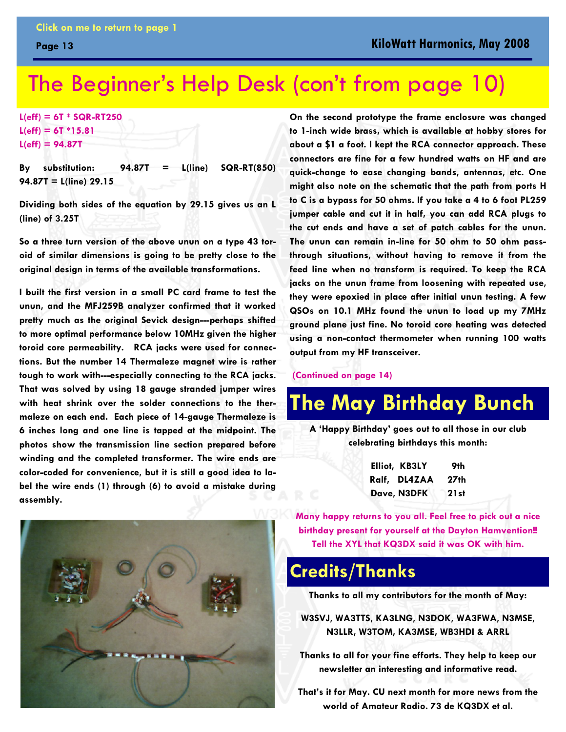### <span id="page-12-0"></span>The Beginner's Help Desk [\(con't from page 10\)](#page-9-0)

**L(eff) = 6T \* SQR-RT250 L(eff) = 6T \*15.81 L(eff) = 94.87T** 

**By substitution: 94.87T = L(line) SQR-RT(850) 94.87T = L(line) 29.15** 

**Dividing both sides of the equation by 29.15 gives us an L (line) of 3.25T** 

**So a three turn version of the above unun on a type 43 toroid of similar dimensions is going to be pretty close to the original design in terms of the available transformations.** 

**I built the first version in a small PC card frame to test the unun, and the MFJ259B analyzer confirmed that it worked pretty much as the original Sevick design---perhaps shifted to more optimal performance below 10MHz given the higher toroid core permeability. RCA jacks were used for connections. But the number 14 Thermaleze magnet wire is rather tough to work with---especially connecting to the RCA jacks. That was solved by using 18 gauge stranded jumper wires with heat shrink over the solder connections to the thermaleze on each end. Each piece of 14-gauge Thermaleze is 6 inches long and one line is tapped at the midpoint. The photos show the transmission line section prepared before winding and the completed transformer. The wire ends are color-coded for convenience, but it is still a good idea to label the wire ends (1) through (6) to avoid a mistake during assembly.** 

**On the second prototype the frame enclosure was changed to 1-inch wide brass, which is available at hobby stores for about a \$1 a foot. I kept the RCA connector approach. These connectors are fine for a few hundred watts on HF and are quick-change to ease changing bands, antennas, etc. One might also note on the schematic that the path from ports H to C is a bypass for 50 ohms. If you take a 4 to 6 foot PL259 jumper cable and cut it in half, you can add RCA plugs to the cut ends and have a set of patch cables for the unun. The unun can remain in-line for 50 ohm to 50 ohm passthrough situations, without having to remove it from the feed line when no transform is required. To keep the RCA jacks on the unun frame from loosening with repeated use, they were epoxied in place after initial unun testing. A few QSOs on 10.1 MHz found the unun to load up my 7MHz ground plane just fine. No toroid core heating was detected using a non-contact thermometer when running 100 watts output from my HF transceiver.** 

 **[\(Continued on page 14\)](#page-13-0)** 

### **The May Birthday Bunch**

**A 'Happy Birthday' goes out to all those in our club celebrating birthdays this month:** 

| Elliot, KB3LY | 9th   |
|---------------|-------|
| Ralf, DL4ZAA  | 27th  |
| Dave, N3DFK   | 21 st |

**Many happy returns to you all. Feel free to pick out a nice birthday present for yourself at the Dayton Hamvention!! Tell the XYL that KQ3DX said it was OK with him.** 

### **Credits/Thanks**

**Thanks to all my contributors for the month of May:** 

**W3SVJ, WA3TTS, KA3LNG, N3DOK, WA3FWA, N3MSE, N3LLR, W3TOM, KA3MSE, WB3HDI & ARRL** 

**Thanks to all for your fine efforts. They help to keep our newsletter an interesting and informative read.** 

**That's it for May. CU next month for more news from the world of Amateur Radio. 73 de KQ3DX et al.** 

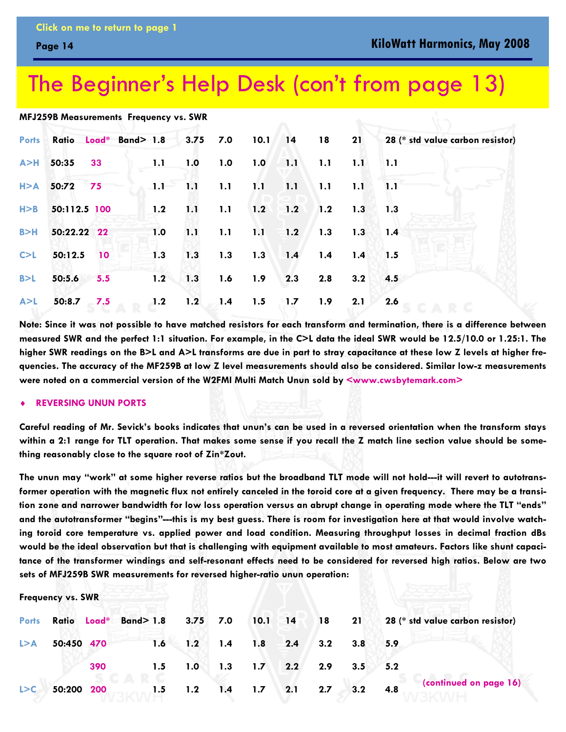### <span id="page-13-0"></span>The Beginner's Help Desk [\(con't from page 13\)](#page-12-0)

#### **MFJ259B Measurements Frequency vs. SWR**

|       |                    |                        |     |     |                     |  |                                                 |                | Ports Ratio Load* Band> 1.8 3.75 7.0 10.1 14 18 21 28 (* std value carbon resistor) |
|-------|--------------------|------------------------|-----|-----|---------------------|--|-------------------------------------------------|----------------|-------------------------------------------------------------------------------------|
|       | A>H 50:35 33       |                        |     |     | 1.1 1.0 1.0 1.0 1.1 |  | $1.1$ $1.1$ $1.1$                               |                |                                                                                     |
|       | $H > A$ 50:72 75   |                        |     |     |                     |  | $1.1 - 1.1 - 1.1 - 1.1 - 1.1 - 1.1 - 1.1 - 1.1$ |                |                                                                                     |
| H > B | 50:112.5 100       |                        |     |     |                     |  | 1.2 1.1 1.1 1.2 1.2 1.2 1.3 1.3                 |                |                                                                                     |
| B > H | 50:22.22 22        |                        | 1.0 | 1.1 | $1.1 \t1.1 \t1.2$   |  | $1.3$ 1.3 1.4                                   |                |                                                                                     |
|       |                    | $C > L$ 50:12.5 10 1.3 |     |     |                     |  | 1.3 1.3 1.3 1.4 1.4 1.4 1.5                     |                |                                                                                     |
|       | $B > L$ 50:5.6 5.5 |                        |     |     |                     |  | $1.2$ 1.3 1.6 1.9 2.3 2.8                       | $3.2\quad 4.5$ |                                                                                     |
|       | $A > L$ 50:8.7 7.5 |                        |     |     | 1.2 1.2 1.4 1.5 1.7 |  | 1.9                                             | 2.1            | 2.6                                                                                 |

**Note: Since it was not possible to have matched resistors for each transform and termination, there is a difference between measured SWR and the perfect 1:1 situation. For example, in the C>L data the ideal SWR would be 12.5/10.0 or 1.25:1. The**  higher SWR readings on the B>L and A>L transforms are due in part to stray capacitance at these low Z levels at higher fre**quencies. The accuracy of the MF259B at low Z level measurements should also be considered. Similar low-z measurements were noted on a commercial version of the W2FMI Multi Match Unun sold by <www.cwsbytemark.com>**

#### **REVERSING UNUN PORTS**

**Frequency vs. SWR**

**Careful reading of Mr. Sevick's books indicates that unun's can be used in a reversed orientation when the transform stays within a 2:1 range for TLT operation. That makes some sense if you recall the Z match line section value should be something reasonably close to the square root of Zin\*Zout.** 

**The unun may "work" at some higher reverse ratios but the broadband TLT mode will not hold---it will revert to autotransformer operation with the magnetic flux not entirely canceled in the toroid core at a given frequency. There may be a transition zone and narrower bandwidth for low loss operation versus an abrupt change in operating mode where the TLT "ends" and the autotransformer "begins"---this is my best guess. There is room for investigation here at that would involve watching toroid core temperature vs. applied power and load condition. Measuring throughput losses in decimal fraction dBs would be the ideal observation but that is challenging with equipment available to most amateurs. Factors like shunt capacitance of the transformer windings and self-resonant effects need to be considered for reversed high ratios. Below are two sets of MFJ259B SWR measurements for reversed higher-ratio unun operation:** 

|       |            |     |        |                               |                   |     |             | Ports Ratio Load* Band> 1.8 3.75 7.0 10.1 14 18 21 28 (* std value carbon resistor) |
|-------|------------|-----|--------|-------------------------------|-------------------|-----|-------------|-------------------------------------------------------------------------------------|
| L > A | 50:450 470 |     |        | $1.6$ $1.2$ $1.4$ $1.8$ $2.4$ |                   | 3.2 | $3.8$ $5.9$ |                                                                                     |
|       |            | 390 | 1.5    | 1.0                           | $1.3$ $1.7$ $2.2$ | 2.9 | $3.5$ $5.2$ |                                                                                     |
| L > C | 50:200 200 |     | $-1.5$ | $1.2$ $1.4$ $1.7$ $2.1$       |                   | 2.7 | $3.2$ 4.8   | (continued on page 16)                                                              |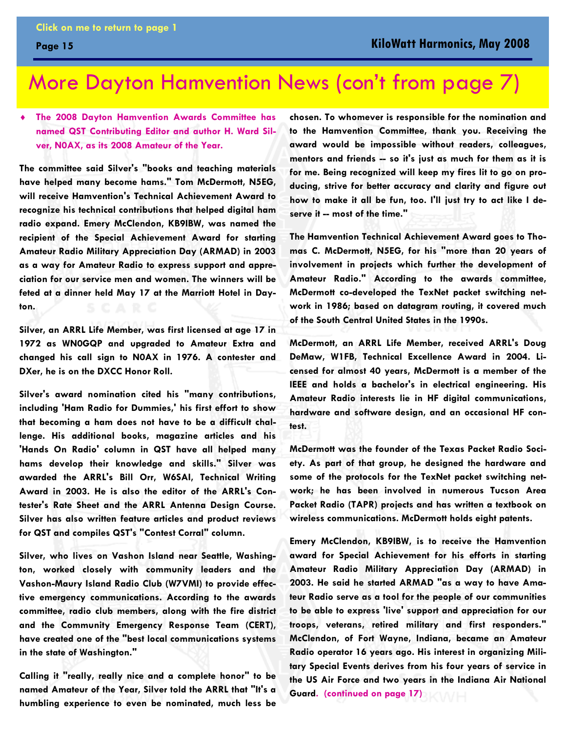### <span id="page-14-0"></span>More Dayton Hamvention News [\(con't from page 7\)](#page-6-0)

### **The 2008 Dayton Hamvention Awards Committee has named QST Contributing Editor and author H. Ward Silver, N0AX, as its 2008 Amateur of the Year.**

**The committee said Silver's "books and teaching materials have helped many become hams." Tom McDermott, N5EG, will receive Hamvention's Technical Achievement Award to recognize his technical contributions that helped digital ham radio expand. Emery McClendon, KB9IBW, was named the recipient of the Special Achievement Award for starting Amateur Radio Military Appreciation Day (ARMAD) in 2003 as a way for Amateur Radio to express support and appreciation for our service men and women. The winners will be feted at a dinner held May 17 at the Marriott Hotel in Dayton.** 

**Silver, an ARRL Life Member, was first licensed at age 17 in 1972 as WN0GQP and upgraded to Amateur Extra and changed his call sign to N0AX in 1976. A contester and DXer, he is on the DXCC Honor Roll.** 

**Silver's award nomination cited his "many contributions, including 'Ham Radio for Dummies,' his first effort to show that becoming a ham does not have to be a difficult challenge. His additional books, magazine articles and his 'Hands On Radio' column in QST have all helped many hams develop their knowledge and skills." Silver was awarded the ARRL's Bill Orr, W6SAI, Technical Writing Award in 2003. He is also the editor of the ARRL's Contester's Rate Sheet and the ARRL Antenna Design Course. Silver has also written feature articles and product reviews for QST and compiles QST's "Contest Corral" column.** 

**Silver, who lives on Vashon Island near Seattle, Washington, worked closely with community leaders and the Vashon-Maury Island Radio Club (W7VMI) to provide effective emergency communications. According to the awards committee, radio club members, along with the fire district and the Community Emergency Response Team (CERT), have created one of the "best local communications systems in the state of Washington."** 

**Calling it "really, really nice and a complete honor" to be named Amateur of the Year, Silver told the ARRL that "It's a humbling experience to even be nominated, much less be** 

**chosen. To whomever is responsible for the nomination and to the Hamvention Committee, thank you. Receiving the award would be impossible without readers, colleagues, mentors and friends -- so it's just as much for them as it is for me. Being recognized will keep my fires lit to go on producing, strive for better accuracy and clarity and figure out how to make it all be fun, too. I'll just try to act like I deserve it -- most of the time."** 

**The Hamvention Technical Achievement Award goes to Thomas C. McDermott, N5EG, for his "more than 20 years of involvement in projects which further the development of Amateur Radio." According to the awards committee, McDermott co-developed the TexNet packet switching network in 1986; based on datagram routing, it covered much of the South Central United States in the 1990s.** 

**McDermott, an ARRL Life Member, received ARRL's Doug DeMaw, W1FB, Technical Excellence Award in 2004. Licensed for almost 40 years, McDermott is a member of the IEEE and holds a bachelor's in electrical engineering. His Amateur Radio interests lie in HF digital communications, hardware and software design, and an occasional HF contest.** 

**McDermott was the founder of the Texas Packet Radio Society. As part of that group, he designed the hardware and some of the protocols for the TexNet packet switching network; he has been involved in numerous Tucson Area Packet Radio (TAPR) projects and has written a textbook on wireless communications. McDermott holds eight patents.** 

**Emery McClendon, KB9IBW, is to receive the Hamvention award for Special Achievement for his efforts in starting Amateur Radio Military Appreciation Day (ARMAD) in 2003. He said he started ARMAD "as a way to have Amateur Radio serve as a tool for the people of our communities to be able to express 'live' support and appreciation for our troops, veterans, retired military and first responders." McClendon, of Fort Wayne, Indiana, became an Amateur Radio operator 16 years ago. His interest in organizing Military Special Events derives from his four years of service in the US Air Force and two years in the Indiana Air National Guard. [\(continued on page 17\)](#page-16-0)**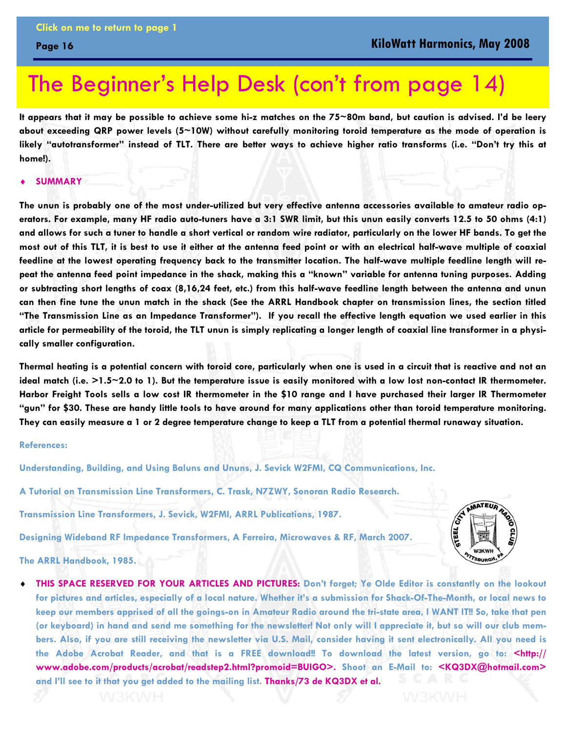### The Beginner's Help Desk [\(con't from page 14\)](#page-13-0)

**It appears that it may be possible to achieve some hi-z matches on the 75~80m band, but caution is advised. I'd be leery about exceeding QRP power levels (5~10W) without carefully monitoring toroid temperature as the mode of operation is likely "autotransformer" instead of TLT. There are better ways to achieve higher ratio transforms (i.e. "Don't try this at home!).** 

#### $SUMMARY$

<span id="page-15-0"></span>**Page 16** 

**The unun is probably one of the most under-utilized but very effective antenna accessories available to amateur radio operators. For example, many HF radio auto-tuners have a 3:1 SWR limit, but this unun easily converts 12.5 to 50 ohms (4:1) and allows for such a tuner to handle a short vertical or random wire radiator, particularly on the lower HF bands. To get the most out of this TLT, it is best to use it either at the antenna feed point or with an electrical half-wave multiple of coaxial feedline at the lowest operating frequency back to the transmitter location. The half-wave multiple feedline length will repeat the antenna feed point impedance in the shack, making this a "known" variable for antenna tuning purposes. Adding or subtracting short lengths of coax (8,16,24 feet, etc.) from this half-wave feedline length between the antenna and unun can then fine tune the unun match in the shack (See the ARRL Handbook chapter on transmission lines, the section titled "The Transmission Line as an Impedance Transformer"). If you recall the effective length equation we used earlier in this article for permeability of the toroid, the TLT unun is simply replicating a longer length of coaxial line transformer in a physically smaller configuration.** 

**Thermal heating is a potential concern with toroid core, particularly when one is used in a circuit that is reactive and not an ideal match (i.e. >1.5~2.0 to 1). But the temperature issue is easily monitored with a low lost non-contact IR thermometer. Harbor Freight Tools sells a low cost IR thermometer in the \$10 range and I have purchased their larger IR Thermometer "gun" for \$30. These are handy little tools to have around for many applications other than toroid temperature monitoring. They can easily measure a 1 or 2 degree temperature change to keep a TLT from a potential thermal runaway situation.** 

#### **References:**

**Understanding, Building, and Using Baluns and Ununs, J. Sevick W2FMI, CQ Communications, Inc.** 

**A Tutorial on Transmission Line Transformers, C. Trask, N7ZWY, Sonoran Radio Research.** 

**Transmission Line Transformers, J. Sevick, W2FMI, ARRL Publications, 1987.** 

**Designing Wideband RF Impedance Transformers, A Ferreira, Microwaves & RF, March 2007.** 

**AMATEURA** 

**The ARRL Handbook, 1985.** 

THIS SPACE RESERVED FOR YOUR ARTICLES AND PICTURES: Don't forget; Ye Olde Editor is constantly on the lookout **for pictures and articles, especially of a local nature. Whether it's a submission for Shack-Of-The-Month, or local news to keep our members apprised of all the goings-on in Amateur Radio around the tri-state area, I WANT IT!! So, take that pen (or keyboard) in hand and send me something for the newsletter! Not only will I appreciate it, but so will our club members. Also, if you are still receiving the newsletter via U.S. Mail, consider having it sent electronically. All you need is the Adobe Acrobat Reader, and that is a FREE download!! To download the latest version, go to: <http:// www.adobe.com/products/acrobat/readstep2.html?promoid=BUIGO>. Shoot an E-Mail to: <KQ3DX@hotmail.com> and I'll see to it that you get added to the mailing list. Thanks/73 de KQ3DX et al.**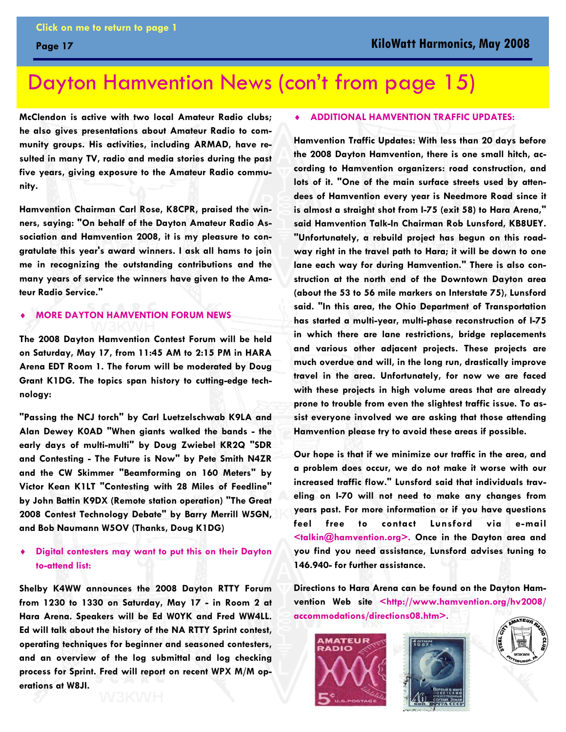### <span id="page-16-0"></span>Dayton Hamvention News [\(con't from page 15\)](#page-14-0)

**McClendon is active with two local Amateur Radio clubs; he also gives presentations about Amateur Radio to community groups. His activities, including ARMAD, have resulted in many TV, radio and media stories during the past five years, giving exposure to the Amateur Radio community.** 

**Hamvention Chairman Carl Rose, K8CPR, praised the winners, saying: "On behalf of the Dayton Amateur Radio Association and Hamvention 2008, it is my pleasure to congratulate this year's award winners. I ask all hams to join me in recognizing the outstanding contributions and the many years of service the winners have given to the Amateur Radio Service."** 

#### **MORE DAYTON HAMVENTION FORUM NEWS**

**The 2008 Dayton Hamvention Contest Forum will be held on Saturday, May 17, from 11:45 AM to 2:15 PM in HARA Arena EDT Room 1. The forum will be moderated by Doug Grant K1DG. The topics span history to cutting-edge technology:** 

**"Passing the NCJ torch" by Carl Luetzelschwab K9LA and Alan Dewey K0AD "When giants walked the bands - the early days of multi-multi" by Doug Zwiebel KR2Q "SDR and Contesting - The Future is Now" by Pete Smith N4ZR and the CW Skimmer "Beamforming on 160 Meters" by Victor Kean K1LT "Contesting with 28 Miles of Feedline" by John Battin K9DX (Remote station operation) "The Great 2008 Contest Technology Debate" by Barry Merrill W5GN, and Bob Naumann W5OV (Thanks, Doug K1DG)** 

#### **Digital contesters may want to put this on their Dayton to-attend list:**

**Shelby K4WW announces the 2008 Dayton RTTY Forum from 1230 to 1330 on Saturday, May 17 - in Room 2 at Hara Arena. Speakers will be Ed W0YK and Fred WW4LL. Ed will talk about the history of the NA RTTY Sprint contest, operating techniques for beginner and seasoned contesters, and an overview of the log submittal and log checking process for Sprint. Fred will report on recent WPX M/M operations at W8JI.** 

#### ♦ **ADDITIONAL HAMVENTION TRAFFIC UPDATES:**

**Hamvention Traffic Updates: With less than 20 days before the 2008 Dayton Hamvention, there is one small hitch, according to Hamvention organizers: road construction, and lots of it. "One of the main surface streets used by attendees of Hamvention every year is Needmore Road since it is almost a straight shot from I-75 (exit 58) to Hara Arena," said Hamvention Talk-In Chairman Rob Lunsford, KB8UEY. "Unfortunately, a rebuild project has begun on this roadway right in the travel path to Hara; it will be down to one lane each way for during Hamvention." There is also construction at the north end of the Downtown Dayton area (about the 53 to 56 mile markers on Interstate 75), Lunsford said. "In this area, the Ohio Department of Transportation has started a multi-year, multi-phase reconstruction of I-75 in which there are lane restrictions, bridge replacements and various other adjacent projects. These projects are much overdue and will, in the long run, drastically improve travel in the area. Unfortunately, for now we are faced with these projects in high volume areas that are already prone to trouble from even the slightest traffic issue. To assist everyone involved we are asking that those attending Hamvention please try to avoid these areas if possible.** 

**Our hope is that if we minimize our traffic in the area, and a problem does occur, we do not make it worse with our increased traffic flow." Lunsford said that individuals traveling on I-70 will not need to make any changes from years past. For more information or if you have questions feel free to contact Lunsford via e-mail <talkin@hamvention.org>. Once in the Dayton area and you find you need assistance, Lunsford advises tuning to 146.940- for further assistance.** 

**Directions to Hara Arena can be found on the Dayton Hamvention Web site <http://www.hamvention.org/hv2008/ accommodations/directions08.htm>.** 





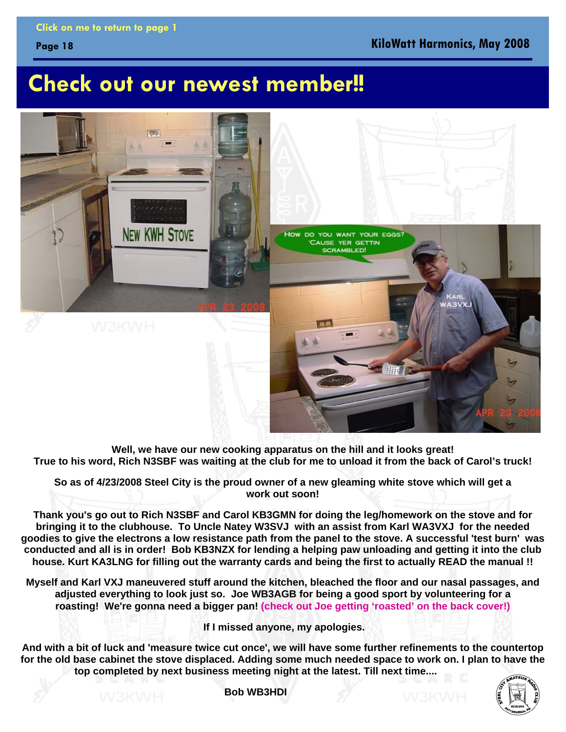### <span id="page-17-0"></span>**Check out our newest member!!**



**Well, we have our new cooking apparatus on the hill and it looks great! True to his word, Rich N3SBF was waiting at the club for me to unload it from the back of Carol's truck!** 

**So as of 4/23/2008 Steel City is the proud owner of a new gleaming white stove which will get a work out soon!** 

**Thank you's go out to Rich N3SBF and Carol KB3GMN for doing the leg/homework on the stove and for bringing it to the clubhouse. To Uncle Natey W3SVJ with an assist from Karl WA3VXJ for the needed goodies to give the electrons a low resistance path from the panel to the stove. A successful 'test burn' was conducted and all is in order! Bob KB3NZX for lending a helping paw unloading and getting it into the club house. Kurt KA3LNG for filling out the warranty cards and being the first to actually READ the manual !!** 

**Myself and Karl VXJ maneuvered stuff around the kitchen, bleached the floor and our nasal passages, and adjusted everything to look just so. Joe WB3AGB for being a good sport by volunteering for a roasting! We're gonna need a bigger pan! [\(check out Joe getting 'roasted' on the back cover!\)](#page-21-0)** 

 **If I missed anyone, my apologies.** 

**And with a bit of luck and 'measure twice cut once', we will have some further refinements to the countertop for the old base cabinet the stove displaced. Adding some much needed space to work on. I plan to have the top completed by next business meeting night at the latest. Till next time....** 



**Bob WB3HDI**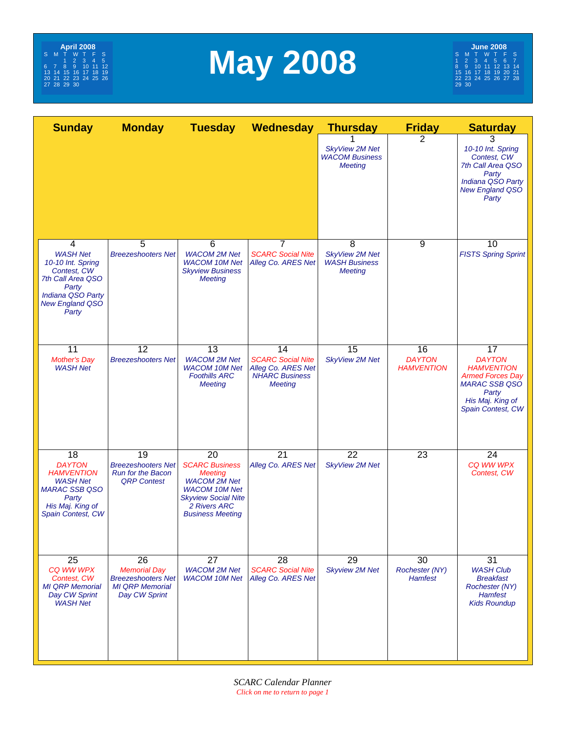<span id="page-18-0"></span>

# **May 2008**

| <b>Sunday</b>                                                                                                                                      | <b>Monday</b>                                                                                                  | <b>Tuesday</b>                                                                                                                                                        | Wednesday                                                                                       | <b>Thursday</b>                                                      | <b>Friday</b>                            | <b>Saturday</b>                                                                                                                               |
|----------------------------------------------------------------------------------------------------------------------------------------------------|----------------------------------------------------------------------------------------------------------------|-----------------------------------------------------------------------------------------------------------------------------------------------------------------------|-------------------------------------------------------------------------------------------------|----------------------------------------------------------------------|------------------------------------------|-----------------------------------------------------------------------------------------------------------------------------------------------|
|                                                                                                                                                    |                                                                                                                |                                                                                                                                                                       |                                                                                                 | <b>SkyView 2M Net</b><br><b>WACOM Business</b><br><b>Meeting</b>     | 2                                        | 3<br>10-10 Int. Spring<br>Contest, CW<br>7th Call Area QSO<br>Party<br>Indiana QSO Party<br><b>New England QSO</b><br>Party                   |
| 4<br><b>WASH Net</b><br>10-10 Int. Spring<br>Contest, CW<br>7th Call Area QSO<br>Party<br>Indiana QSO Party<br><b>New England QSO</b><br>Party     | 5<br><b>Breezeshooters Net</b>                                                                                 | 6<br><b>WACOM 2M Net</b><br><b>WACOM 10M Net</b><br><b>Skyview Business</b><br><b>Meeting</b>                                                                         | $\overline{7}$<br><b>SCARC Social Nite</b><br>Alleg Co. ARES Net                                | 8<br><b>SkyView 2M Net</b><br><b>WASH Business</b><br><b>Meeting</b> | 9                                        | 10<br><b>FISTS Spring Sprint</b>                                                                                                              |
| 11<br><b>Mother's Day</b><br><b>WASH Net</b>                                                                                                       | $\overline{12}$<br><b>Breezeshooters Net</b>                                                                   | 13<br><b>WACOM 2M Net</b><br><b>WACOM 10M Net</b><br><b>Foothills ARC</b><br><b>Meeting</b>                                                                           | 14<br><b>SCARC Social Nite</b><br>Alleg Co. ARES Net<br><b>NHARC Business</b><br><b>Meeting</b> | 15<br><b>SkyView 2M Net</b>                                          | 16<br><b>DAYTON</b><br><b>HAMVENTION</b> | 17<br><b>DAYTON</b><br><b>HAMVENTION</b><br><b>Armed Forces Day</b><br><b>MARAC SSB QSO</b><br>Party<br>His Maj. King of<br>Spain Contest, CW |
| $\overline{18}$<br><b>DAYTON</b><br><b>HAMVENTION</b><br><b>WASH Net</b><br><b>MARAC SSB QSO</b><br>Party<br>His Maj. King of<br>Spain Contest, CW | 19<br><b>Breezeshooters Net</b><br><b>Run for the Bacon</b><br><b>QRP Contest</b>                              | 20<br><b>SCARC Business</b><br><b>Meeting</b><br><b>WACOM 2M Net</b><br><b>WACOM 10M Net</b><br><b>Skyview Social Nite</b><br>2 Rivers ARC<br><b>Business Meeting</b> | $\overline{21}$<br>Alleg Co. ARES Net                                                           | $\overline{22}$<br><b>SkyView 2M Net</b>                             | $\overline{23}$                          | 24<br>CQ WW WPX<br>Contest, CW                                                                                                                |
| $\overline{25}$<br>CQ WW WPX<br>Contest, CW<br><b>MI QRP Memorial</b><br>Day CW Sprint<br><b>WASH Net</b>                                          | $\overline{26}$<br><b>Memorial Day</b><br><b>Breezeshooters Net</b><br><b>MI QRP Memorial</b><br>Day CW Sprint | $\overline{27}$<br><b>WACOM 2M Net</b><br><b>WACOM 10M Net</b>                                                                                                        | $\overline{28}$<br><b>SCARC Social Nite</b><br>Alleg Co. ARES Net                               | $\overline{29}$<br><b>Skyview 2M Net</b>                             | 30<br>Rochester (NY)<br><b>Hamfest</b>   | 31<br><b>WASH Club</b><br><b>Breakfast</b><br><b>Rochester (NY)</b><br><b>Hamfest</b><br><b>Kids Roundup</b>                                  |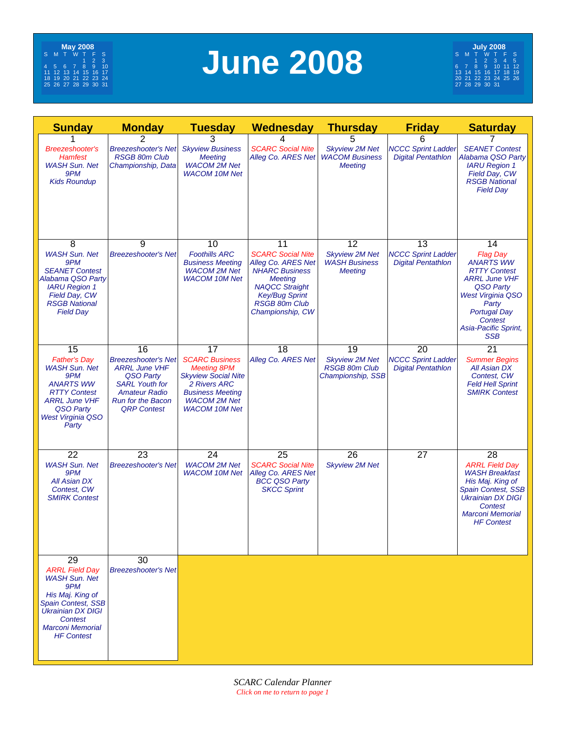<span id="page-19-0"></span>

# **June 2008**

| <b>Sunday</b>                                                                                                                                                                                      | <b>Monday</b>                                                                                                                                                            | <b>Tuesday</b>                                                                                                                                                                   | Wednesday                                                                                                                                                                                     | <b>Thursday</b>                                                          | <b>Friday</b>                                                | <b>Saturday</b>                                                                                                                                                                                                           |
|----------------------------------------------------------------------------------------------------------------------------------------------------------------------------------------------------|--------------------------------------------------------------------------------------------------------------------------------------------------------------------------|----------------------------------------------------------------------------------------------------------------------------------------------------------------------------------|-----------------------------------------------------------------------------------------------------------------------------------------------------------------------------------------------|--------------------------------------------------------------------------|--------------------------------------------------------------|---------------------------------------------------------------------------------------------------------------------------------------------------------------------------------------------------------------------------|
| <b>Breezeshooter's</b><br>Hamfest<br><b>WASH Sun. Net</b><br>9PM<br><b>Kids Roundup</b>                                                                                                            | 2<br><b>Breezeshooter's Net</b><br><b>RSGB 80m Club</b><br>Championship, Data                                                                                            | 3<br><b>Skyview Business</b><br><b>Meeting</b><br><b>WACOM 2M Net</b><br><b>WACOM 10M Net</b>                                                                                    | 4<br><b>SCARC Social Nite</b><br>Alleg Co. ARES Net                                                                                                                                           | 5<br><b>Skyview 2M Net</b><br><b>WACOM Business</b><br><b>Meeting</b>    | 6<br><b>NCCC Sprint Ladder</b><br><b>Digital Pentathlon</b>  | <b>SEANET Contest</b><br>Alabama QSO Party<br><b>IARU Region 1</b><br>Field Day, CW<br><b>RSGB National</b><br><b>Field Dav</b>                                                                                           |
| 8<br><b>WASH Sun. Net</b><br>9PM<br><b>SEANET Contest</b><br>Alabama QSO Party<br><b>IARU Region 1</b><br>Field Day, CW<br><b>RSGB National</b><br><b>Field Day</b>                                | 9<br><b>Breezeshooter's Net</b>                                                                                                                                          | 10<br><b>Foothills ARC</b><br><b>Business Meeting</b><br><b>WACOM 2M Net</b><br><b>WACOM 10M Net</b>                                                                             | 11<br><b>SCARC Social Nite</b><br>Alleg Co. ARES Net<br><b>NHARC Business</b><br><b>Meeting</b><br><b>NAQCC Straight</b><br><b>Key/Bug Sprint</b><br><b>RSGB 80m Club</b><br>Championship, CW | 12<br><b>Skyview 2M Net</b><br><b>WASH Business</b><br><b>Meeting</b>    | 13<br><b>NCCC Sprint Ladder</b><br><b>Digital Pentathlon</b> | 14<br><b>Flag Day</b><br><b>ANARTS WW</b><br><b>RTTY Contest</b><br><b>ARRL June VHF</b><br>QSO Party<br><b>West Virginia QSO</b><br>Party<br><b>Portugal Day</b><br><b>Contest</b><br>Asia-Pacific Sprint,<br><b>SSB</b> |
| 15<br><b>Father's Day</b><br><b>WASH Sun. Net</b><br>9PM<br><b>ANARTS WW</b><br><b>RTTY Contest</b><br><b>ARRL June VHF</b><br>QSO Party<br><b>West Virginia QSO</b><br>Party                      | 16<br><b>Breezeshooter's Net</b><br><b>ARRL June VHF</b><br>QSO Party<br><b>SARL Youth for</b><br><b>Amateur Radio</b><br><b>Run for the Bacon</b><br><b>QRP Contest</b> | 17<br><b>SCARC Business</b><br><b>Meeting 8PM</b><br><b>Skyview Social Nite</b><br><b>2 Rivers ARC</b><br><b>Business Meeting</b><br><b>WACOM 2M Net</b><br><b>WACOM 10M Net</b> | 18<br>Alleg Co. ARES Net                                                                                                                                                                      | 19<br><b>Skyview 2M Net</b><br><b>RSGB 80m Club</b><br>Championship, SSB | 20<br><b>NCCC Sprint Ladder</b><br><b>Digital Pentathlon</b> | $\overline{21}$<br><b>Summer Begins</b><br><b>All Asian DX</b><br>Contest, CW<br><b>Feld Hell Sprint</b><br><b>SMIRK Contest</b>                                                                                          |
| 22<br><b>WASH Sun. Net</b><br>9PM<br>All Asian DX<br>Contest, CW<br><b>SMIRK Contest</b>                                                                                                           | 23<br><b>Breezeshooter's Net</b>                                                                                                                                         | 24<br><b>WACOM 2M Net</b><br><b>WACOM 10M Net</b>                                                                                                                                | 25<br><b>SCARC Social Nite</b><br>Alleg Co. ARES Net<br><b>BCC QSO Party</b><br><b>SKCC Sprint</b>                                                                                            | 26<br><b>Skyview 2M Net</b>                                              | $\overline{27}$                                              | $\overline{28}$<br><b>ARRL Field Day</b><br><b>WASH Breakfast</b><br>His Maj. King of<br>Spain Contest, SSB<br><b>Ukrainian DX DIGI</b><br>Contest<br><b>Marconi Memorial</b><br><b>HF Contest</b>                        |
| 29<br><b>ARRL Field Day</b><br><b>WASH Sun. Net</b><br>9PM<br>His Maj. King of<br><b>Spain Contest, SSB</b><br><b>Ukrainian DX DIGI</b><br>Contest<br><b>Marconi Memorial</b><br><b>HF</b> Contest | 30<br><b>Breezeshooter's Net</b>                                                                                                                                         |                                                                                                                                                                                  |                                                                                                                                                                                               |                                                                          |                                                              |                                                                                                                                                                                                                           |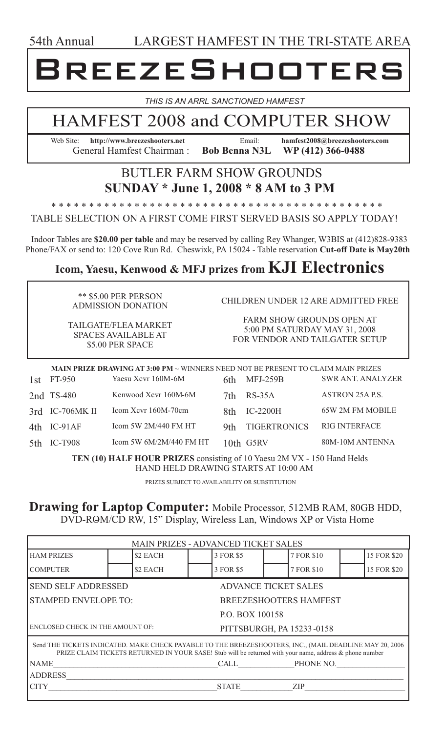<span id="page-20-0"></span>54th Annual LARGEST HAMFEST IN THE TRI-STATE AREA

## REEZESHOOTER

*THIS IS AN ARRL SANCTIONED HAMFEST* 

### HAMFEST 2008 and COMPUTER SHOW

Web Site: **http://www.breezeshooters.net** Email: **hamfest2008@breezeshooters.com** General Hamfest Chairman : **Bob Benna N3L WP (412) 366-0488**

### BUTLER FARM SHOW GROUNDS **SUNDAY \* June 1, 2008 \* 8 AM to 3 PM**

\* \* \* \* \* \* \* \* \* \* \* \* \* \* \* \* \* \* \* \* \* \* \* \* \* \* \* \* \* \* \* \* \* \* \* \* \* \* \* \* \* \* \* \* TABLE SELECTION ON A FIRST COME FIRST SERVED BASIS SO APPLY TODAY!

Indoor Tables are \$20.00 per table and may be reserved by calling Rey Whanger, W3BIS at (412)828-9383 Phone/FAX or send to: 120 Cove Run Rd. Cheswixk, PA 15024 - Table reservation **Cut-off Date is May20th**

### **Icom, Yaesu, Kenwood & MFJ prizes from KJI Electronics**

\*\* \$5.00 PER PERSON ADMISSION DONATION

CHILDREN UNDER 12 ARE ADMITTED FREE

FARM SHOW GROUNDS OPEN AT 5:00 PM SATURDAY MAY 31, 2008 FOR VENDOR AND TAILGATER SETUP

TAILGATE/FLEA MARKET SPACES AVAILABLE AT \$5.00 PER SPACE

1st FT-950 Yaesu Xcvr 160M-6M 2nd TS-480 Kenwood Xcvr 160M-6M 3rd IC-706MK II Icom Xcvr 160M-70cm 4th IC-91AF Icom 5W 2M/440 FM HT 5th IC-T908 Icom 5W 6M/2M/440 FM HT 6th MFJ-259B SWR ANT. ANALYZER 7th RS-35A ASTRON 25A P.S. 8th IC-2200H 65W 2M FM MOBILE 9th TIGERTRONICS RIG INTERFACE 10th G5RV 80M-10M ANTENNA **MAIN PRIZE DRAWING AT 3:00 PM** ~ WINNERS NEED NOT BE PRESENT TO CLAIM MAIN PRIZES

**TEN (10) HALF HOUR PRIZES** consisting of 10 Yaesu 2M VX - 150 Hand Helds HAND HELD DRAWING STARTS AT 10:00 AM

PRIZES SUBJECT TO AVAILABILITY OR SUBSTITUTION

### **Drawing for Laptop Computer:** Mobile Processor, 512MB RAM, 80GB HDD, DVD-ROM/CD RW, 15" Display, Wireless Lan, Windows XP or Vista Home

| <b>MAIN PRIZES - ADVANCED TICKET SALES</b>                                                                                                                                                                         |                          |          |                           |                 |  |                               |  |             |  |
|--------------------------------------------------------------------------------------------------------------------------------------------------------------------------------------------------------------------|--------------------------|----------|---------------------------|-----------------|--|-------------------------------|--|-------------|--|
| <b>HAM PRIZES</b>                                                                                                                                                                                                  |                          | \$2 EACH |                           | 3 FOR \$5       |  | 7 FOR \$10                    |  | 15 FOR \$20 |  |
| <b>COMPUTER</b>                                                                                                                                                                                                    |                          | \$2 EACH |                           | 3 FOR \$5       |  | 7 FOR \$10                    |  | 15 FOR \$20 |  |
| <b>SEND SELF ADDRESSED</b><br><b>ADVANCE TICKET SALES</b>                                                                                                                                                          |                          |          |                           |                 |  |                               |  |             |  |
| <b>STAMPED ENVELOPE TO:</b>                                                                                                                                                                                        |                          |          |                           |                 |  | <b>BREEZESHOOTERS HAMFEST</b> |  |             |  |
|                                                                                                                                                                                                                    |                          |          |                           | P.O. BOX 100158 |  |                               |  |             |  |
| ENCLOSED CHECK IN THE AMOUNT OF:                                                                                                                                                                                   |                          |          | PITTSBURGH, PA 15233-0158 |                 |  |                               |  |             |  |
| Send THE TICKETS INDICATED. MAKE CHECK PAYABLE TO THE BREEZESHOOTERS, INC., (MAIL DEADLINE MAY 20, 2006<br>PRIZE CLAIM TICKETS RETURNED IN YOUR SASE! Stub will be returned with your name, address & phone number |                          |          |                           |                 |  |                               |  |             |  |
| <b>NAME</b>                                                                                                                                                                                                        | PHONE NO.<br><b>CALL</b> |          |                           |                 |  |                               |  |             |  |
| <b>ADDRESS</b>                                                                                                                                                                                                     |                          |          |                           |                 |  |                               |  |             |  |
| CITY                                                                                                                                                                                                               |                          |          |                           | <b>STATE</b>    |  | ZIP                           |  |             |  |
|                                                                                                                                                                                                                    |                          |          |                           |                 |  |                               |  |             |  |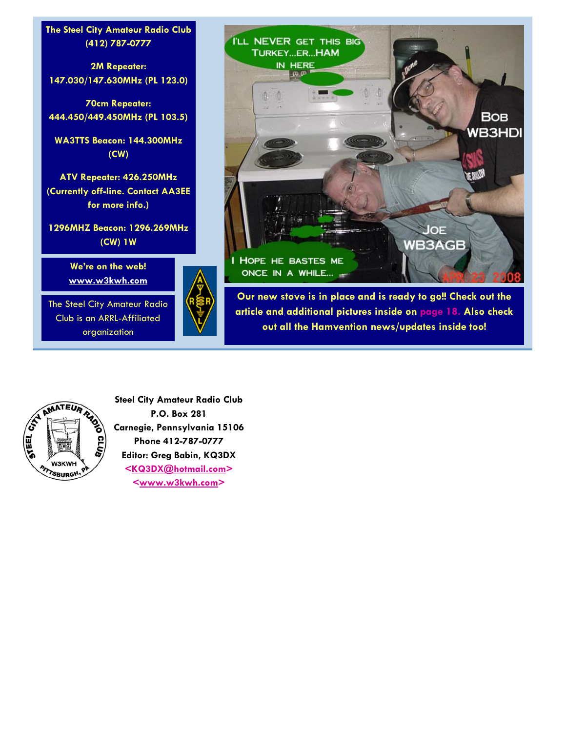### <span id="page-21-0"></span>**The Steel City Amateur Radio Club (412) 787-0777**

**2M Repeater: 147.030/147.630MHz (PL 123.0)** 

**70cm Repeater: 444.450/449.450MHz (PL 103.5)** 

**WA3TTS Beacon: 144.300MHz (CW)** 

**ATV Repeater: 426.250MHz (Currently off-line. Contact AA3EE for more info.)** 

**1296MHZ Beacon: 1296.269MHz (CW) 1W** 

> **We're on the web! www.w3kwh.com**

The Steel City Amateur Radio Club is an ARRL-Affiliated organization





**Our new stove is in place and is ready to go!! Check out the article and additional pictures inside o[n page 18.](#page-17-0) Also check out all the Hamvention news/updates inside too!** 



**Steel City Amateur Radio Club P.O. Box 281 Carnegie, Pennsylvania 15106 Phone 412-787-0777 Editor: Greg Babin, KQ3DX <KQ3DX@hotmail.com> <www.w3kwh.com>**